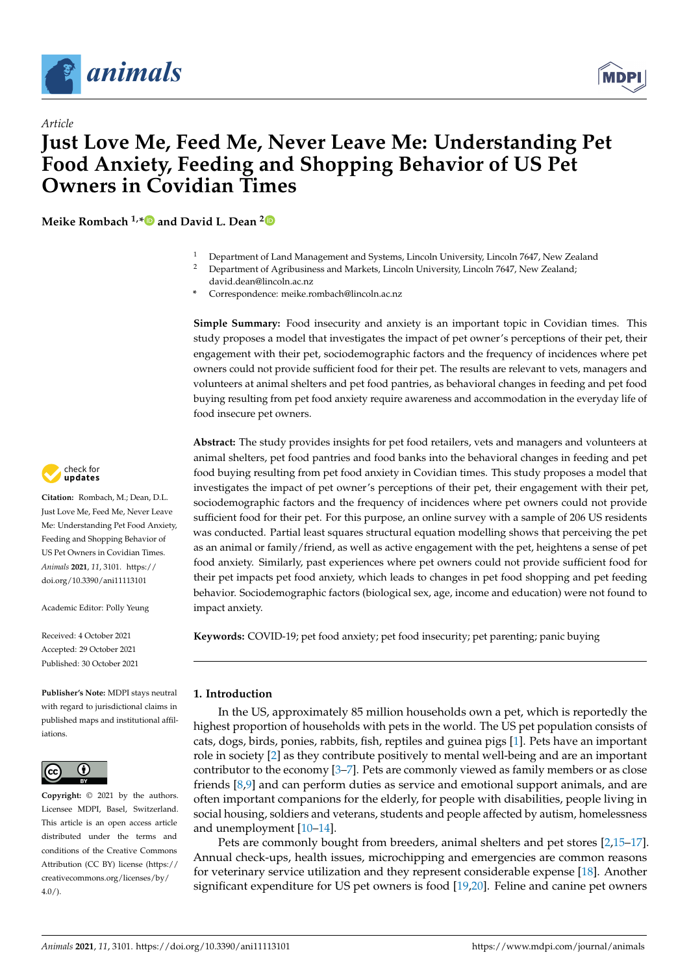

*Article*



# **Just Love Me, Feed Me, Never Leave Me: Understanding Pet Food Anxiety, Feeding and Shopping Behavior of US Pet Owners in Covidian Times**

**Meike Rombach 1,[\\*](https://orcid.org/0000-0003-4014-6875) and David L. Dean [2](https://orcid.org/0000-0003-2534-8065)**

- <sup>1</sup> Department of Land Management and Systems, Lincoln University, Lincoln 7647, New Zealand<br><sup>2</sup> Department of Agribusiness and Marksta Lincoln University, Lincoln 7647, New Zealand.
- <sup>2</sup> Department of Agribusiness and Markets, Lincoln University, Lincoln 7647, New Zealand; david.dean@lincoln.ac.nz
- **\*** Correspondence: meike.rombach@lincoln.ac.nz

**Simple Summary:** Food insecurity and anxiety is an important topic in Covidian times. This study proposes a model that investigates the impact of pet owner's perceptions of their pet, their engagement with their pet, sociodemographic factors and the frequency of incidences where pet owners could not provide sufficient food for their pet. The results are relevant to vets, managers and volunteers at animal shelters and pet food pantries, as behavioral changes in feeding and pet food buying resulting from pet food anxiety require awareness and accommodation in the everyday life of food insecure pet owners.

**Abstract:** The study provides insights for pet food retailers, vets and managers and volunteers at animal shelters, pet food pantries and food banks into the behavioral changes in feeding and pet food buying resulting from pet food anxiety in Covidian times. This study proposes a model that investigates the impact of pet owner's perceptions of their pet, their engagement with their pet, sociodemographic factors and the frequency of incidences where pet owners could not provide sufficient food for their pet. For this purpose, an online survey with a sample of 206 US residents was conducted. Partial least squares structural equation modelling shows that perceiving the pet as an animal or family/friend, as well as active engagement with the pet, heightens a sense of pet food anxiety. Similarly, past experiences where pet owners could not provide sufficient food for their pet impacts pet food anxiety, which leads to changes in pet food shopping and pet feeding behavior. Sociodemographic factors (biological sex, age, income and education) were not found to impact anxiety.

**Keywords:** COVID-19; pet food anxiety; pet food insecurity; pet parenting; panic buying

# **1. Introduction**

In the US, approximately 85 million households own a pet, which is reportedly the highest proportion of households with pets in the world. The US pet population consists of cats, dogs, birds, ponies, rabbits, fish, reptiles and guinea pigs [\[1\]](#page-14-0). Pets have an important role in society [\[2\]](#page-14-1) as they contribute positively to mental well-being and are an important contributor to the economy [\[3–](#page-14-2)[7\]](#page-14-3). Pets are commonly viewed as family members or as close friends [\[8,](#page-15-0)[9\]](#page-15-1) and can perform duties as service and emotional support animals, and are often important companions for the elderly, for people with disabilities, people living in social housing, soldiers and veterans, students and people affected by autism, homelessness and unemployment [\[10](#page-15-2)[–14\]](#page-15-3).

Pets are commonly bought from breeders, animal shelters and pet stores [\[2,](#page-14-1)[15](#page-15-4)[–17\]](#page-15-5). Annual check-ups, health issues, microchipping and emergencies are common reasons for veterinary service utilization and they represent considerable expense [\[18\]](#page-15-6). Another significant expenditure for US pet owners is food [\[19,](#page-15-7)[20\]](#page-15-8). Feline and canine pet owners



**Citation:** Rombach, M.; Dean, D.L. Just Love Me, Feed Me, Never Leave Me: Understanding Pet Food Anxiety, Feeding and Shopping Behavior of US Pet Owners in Covidian Times. *Animals* **2021**, *11*, 3101. [https://](https://doi.org/10.3390/ani11113101) [doi.org/10.3390/ani11113101](https://doi.org/10.3390/ani11113101)

Academic Editor: Polly Yeung

Received: 4 October 2021 Accepted: 29 October 2021 Published: 30 October 2021

**Publisher's Note:** MDPI stays neutral with regard to jurisdictional claims in published maps and institutional affiliations.



**Copyright:** © 2021 by the authors. Licensee MDPI, Basel, Switzerland. This article is an open access article distributed under the terms and conditions of the Creative Commons Attribution (CC BY) license (https:/[/](https://creativecommons.org/licenses/by/4.0/) [creativecommons.org/licenses/by/](https://creativecommons.org/licenses/by/4.0/)  $4.0/$ ).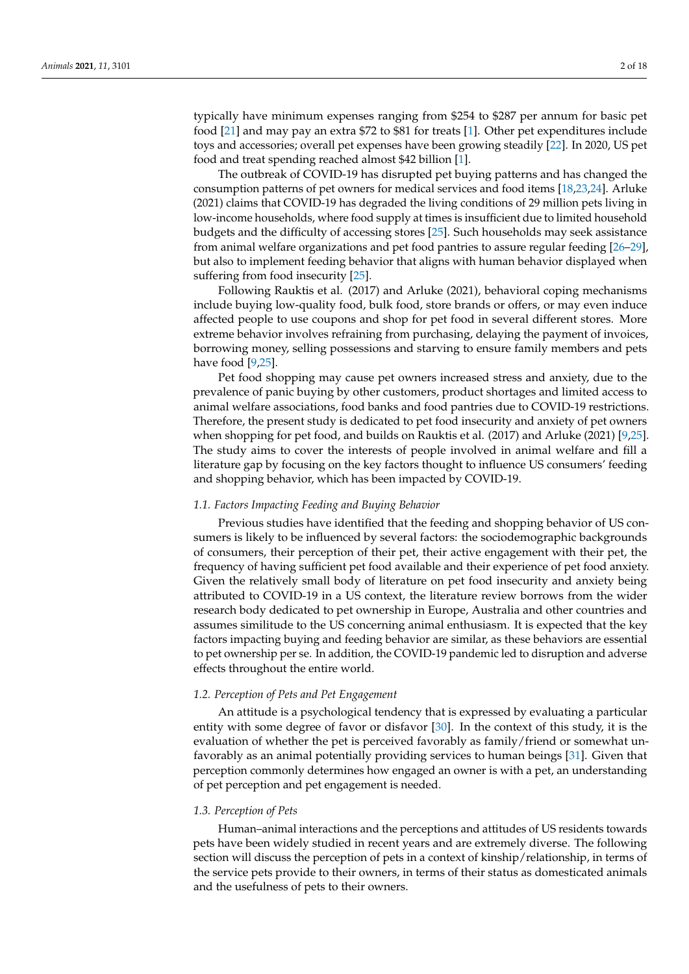typically have minimum expenses ranging from \$254 to \$287 per annum for basic pet food [\[21\]](#page-15-9) and may pay an extra \$72 to \$81 for treats [\[1\]](#page-14-0). Other pet expenditures include toys and accessories; overall pet expenses have been growing steadily [\[22\]](#page-15-10). In 2020, US pet food and treat spending reached almost \$42 billion [\[1\]](#page-14-0).

The outbreak of COVID-19 has disrupted pet buying patterns and has changed the consumption patterns of pet owners for medical services and food items [\[18](#page-15-6)[,23,](#page-15-11)[24\]](#page-15-12). Arluke (2021) claims that COVID-19 has degraded the living conditions of 29 million pets living in low-income households, where food supply at times is insufficient due to limited household budgets and the difficulty of accessing stores [\[25\]](#page-15-13). Such households may seek assistance from animal welfare organizations and pet food pantries to assure regular feeding [\[26–](#page-15-14)[29\]](#page-15-15), but also to implement feeding behavior that aligns with human behavior displayed when suffering from food insecurity [\[25\]](#page-15-13).

Following Rauktis et al. (2017) and Arluke (2021), behavioral coping mechanisms include buying low-quality food, bulk food, store brands or offers, or may even induce affected people to use coupons and shop for pet food in several different stores. More extreme behavior involves refraining from purchasing, delaying the payment of invoices, borrowing money, selling possessions and starving to ensure family members and pets have food [\[9,](#page-15-1)[25\]](#page-15-13).

Pet food shopping may cause pet owners increased stress and anxiety, due to the prevalence of panic buying by other customers, product shortages and limited access to animal welfare associations, food banks and food pantries due to COVID-19 restrictions. Therefore, the present study is dedicated to pet food insecurity and anxiety of pet owners when shopping for pet food, and builds on Rauktis et al. (2017) and Arluke (2021) [\[9,](#page-15-1)[25\]](#page-15-13). The study aims to cover the interests of people involved in animal welfare and fill a literature gap by focusing on the key factors thought to influence US consumers' feeding and shopping behavior, which has been impacted by COVID-19.

#### *1.1. Factors Impacting Feeding and Buying Behavior*

Previous studies have identified that the feeding and shopping behavior of US consumers is likely to be influenced by several factors: the sociodemographic backgrounds of consumers, their perception of their pet, their active engagement with their pet, the frequency of having sufficient pet food available and their experience of pet food anxiety. Given the relatively small body of literature on pet food insecurity and anxiety being attributed to COVID-19 in a US context, the literature review borrows from the wider research body dedicated to pet ownership in Europe, Australia and other countries and assumes similitude to the US concerning animal enthusiasm. It is expected that the key factors impacting buying and feeding behavior are similar, as these behaviors are essential to pet ownership per se. In addition, the COVID-19 pandemic led to disruption and adverse effects throughout the entire world.

# *1.2. Perception of Pets and Pet Engagement*

An attitude is a psychological tendency that is expressed by evaluating a particular entity with some degree of favor or disfavor [\[30\]](#page-15-16). In the context of this study, it is the evaluation of whether the pet is perceived favorably as family/friend or somewhat unfavorably as an animal potentially providing services to human beings [\[31\]](#page-15-17). Given that perception commonly determines how engaged an owner is with a pet, an understanding of pet perception and pet engagement is needed.

#### *1.3. Perception of Pets*

Human–animal interactions and the perceptions and attitudes of US residents towards pets have been widely studied in recent years and are extremely diverse. The following section will discuss the perception of pets in a context of kinship/relationship, in terms of the service pets provide to their owners, in terms of their status as domesticated animals and the usefulness of pets to their owners.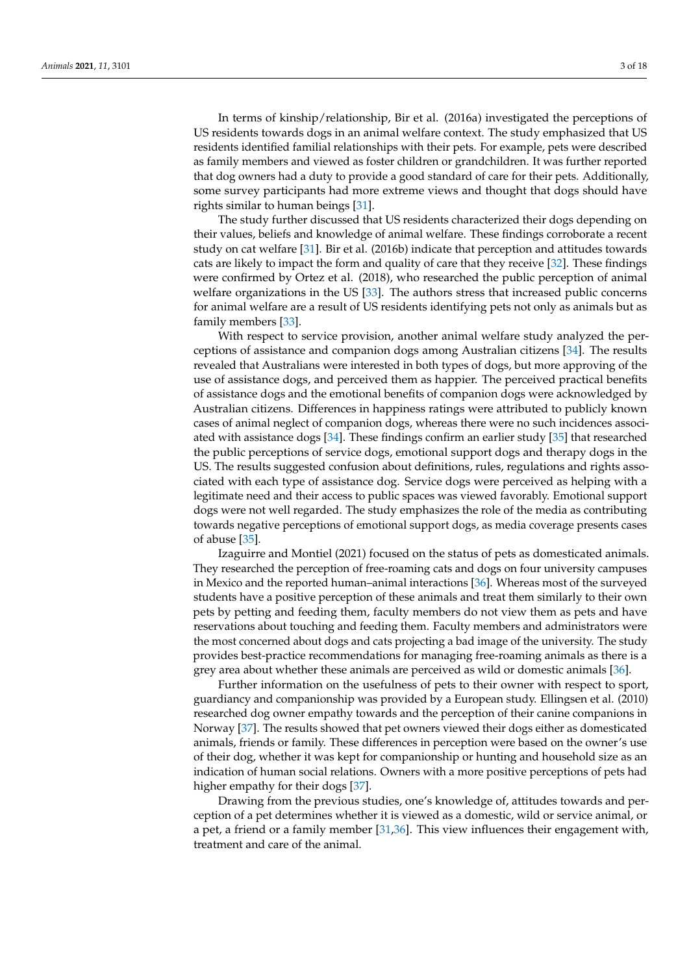In terms of kinship/relationship, Bir et al. (2016a) investigated the perceptions of US residents towards dogs in an animal welfare context. The study emphasized that US residents identified familial relationships with their pets. For example, pets were described as family members and viewed as foster children or grandchildren. It was further reported that dog owners had a duty to provide a good standard of care for their pets. Additionally, some survey participants had more extreme views and thought that dogs should have rights similar to human beings [\[31\]](#page-15-17).

The study further discussed that US residents characterized their dogs depending on their values, beliefs and knowledge of animal welfare. These findings corroborate a recent study on cat welfare [\[31\]](#page-15-17). Bir et al. (2016b) indicate that perception and attitudes towards cats are likely to impact the form and quality of care that they receive [\[32\]](#page-15-18). These findings were confirmed by Ortez et al. (2018), who researched the public perception of animal welfare organizations in the US [\[33\]](#page-15-19). The authors stress that increased public concerns for animal welfare are a result of US residents identifying pets not only as animals but as family members [\[33\]](#page-15-19).

With respect to service provision, another animal welfare study analyzed the perceptions of assistance and companion dogs among Australian citizens [\[34\]](#page-15-20). The results revealed that Australians were interested in both types of dogs, but more approving of the use of assistance dogs, and perceived them as happier. The perceived practical benefits of assistance dogs and the emotional benefits of companion dogs were acknowledged by Australian citizens. Differences in happiness ratings were attributed to publicly known cases of animal neglect of companion dogs, whereas there were no such incidences associated with assistance dogs [\[34\]](#page-15-20). These findings confirm an earlier study [\[35\]](#page-15-21) that researched the public perceptions of service dogs, emotional support dogs and therapy dogs in the US. The results suggested confusion about definitions, rules, regulations and rights associated with each type of assistance dog. Service dogs were perceived as helping with a legitimate need and their access to public spaces was viewed favorably. Emotional support dogs were not well regarded. The study emphasizes the role of the media as contributing towards negative perceptions of emotional support dogs, as media coverage presents cases of abuse [\[35\]](#page-15-21).

Izaguirre and Montiel (2021) focused on the status of pets as domesticated animals. They researched the perception of free-roaming cats and dogs on four university campuses in Mexico and the reported human–animal interactions [\[36\]](#page-15-22). Whereas most of the surveyed students have a positive perception of these animals and treat them similarly to their own pets by petting and feeding them, faculty members do not view them as pets and have reservations about touching and feeding them. Faculty members and administrators were the most concerned about dogs and cats projecting a bad image of the university. The study provides best-practice recommendations for managing free-roaming animals as there is a grey area about whether these animals are perceived as wild or domestic animals [\[36\]](#page-15-22).

Further information on the usefulness of pets to their owner with respect to sport, guardiancy and companionship was provided by a European study. Ellingsen et al. (2010) researched dog owner empathy towards and the perception of their canine companions in Norway [\[37\]](#page-15-23). The results showed that pet owners viewed their dogs either as domesticated animals, friends or family. These differences in perception were based on the owner's use of their dog, whether it was kept for companionship or hunting and household size as an indication of human social relations. Owners with a more positive perceptions of pets had higher empathy for their dogs [\[37\]](#page-15-23).

Drawing from the previous studies, one's knowledge of, attitudes towards and perception of a pet determines whether it is viewed as a domestic, wild or service animal, or a pet, a friend or a family member [\[31,](#page-15-17)[36\]](#page-15-22). This view influences their engagement with, treatment and care of the animal.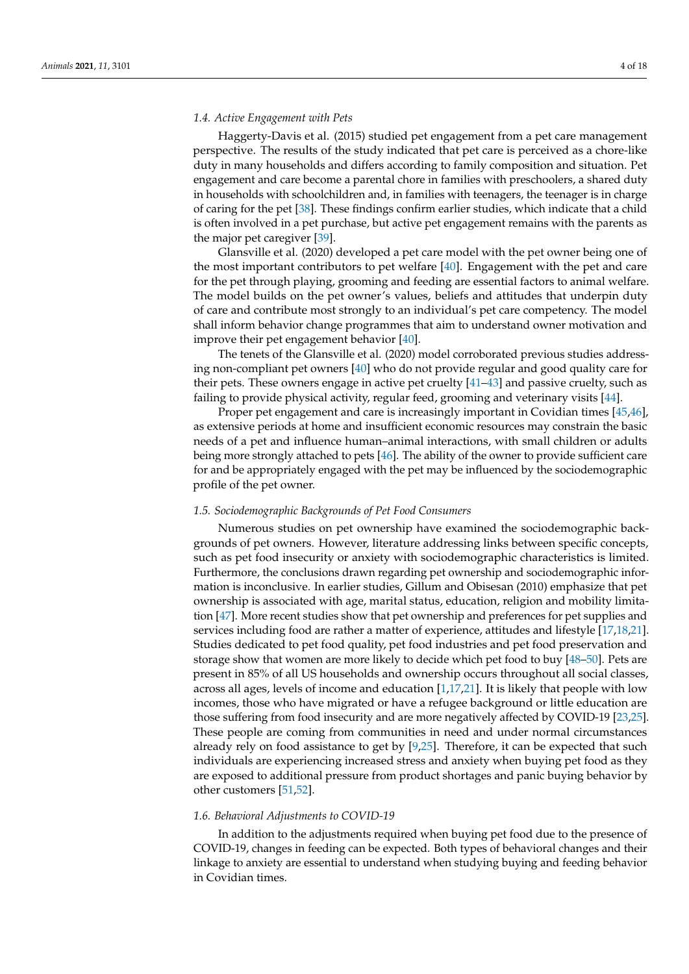# *1.4. Active Engagement with Pets*

Haggerty-Davis et al. (2015) studied pet engagement from a pet care management perspective. The results of the study indicated that pet care is perceived as a chore-like duty in many households and differs according to family composition and situation. Pet engagement and care become a parental chore in families with preschoolers, a shared duty in households with schoolchildren and, in families with teenagers, the teenager is in charge of caring for the pet [\[38\]](#page-16-0). These findings confirm earlier studies, which indicate that a child is often involved in a pet purchase, but active pet engagement remains with the parents as the major pet caregiver [\[39\]](#page-16-1).

Glansville et al. (2020) developed a pet care model with the pet owner being one of the most important contributors to pet welfare [\[40\]](#page-16-2). Engagement with the pet and care for the pet through playing, grooming and feeding are essential factors to animal welfare. The model builds on the pet owner's values, beliefs and attitudes that underpin duty of care and contribute most strongly to an individual's pet care competency. The model shall inform behavior change programmes that aim to understand owner motivation and improve their pet engagement behavior [\[40\]](#page-16-2).

The tenets of the Glansville et al. (2020) model corroborated previous studies addressing non-compliant pet owners [\[40\]](#page-16-2) who do not provide regular and good quality care for their pets. These owners engage in active pet cruelty [\[41](#page-16-3)[–43\]](#page-16-4) and passive cruelty, such as failing to provide physical activity, regular feed, grooming and veterinary visits [\[44\]](#page-16-5).

Proper pet engagement and care is increasingly important in Covidian times [\[45,](#page-16-6)[46\]](#page-16-7), as extensive periods at home and insufficient economic resources may constrain the basic needs of a pet and influence human–animal interactions, with small children or adults being more strongly attached to pets [\[46\]](#page-16-7). The ability of the owner to provide sufficient care for and be appropriately engaged with the pet may be influenced by the sociodemographic profile of the pet owner.

# *1.5. Sociodemographic Backgrounds of Pet Food Consumers*

Numerous studies on pet ownership have examined the sociodemographic backgrounds of pet owners. However, literature addressing links between specific concepts, such as pet food insecurity or anxiety with sociodemographic characteristics is limited. Furthermore, the conclusions drawn regarding pet ownership and sociodemographic information is inconclusive. In earlier studies, Gillum and Obisesan (2010) emphasize that pet ownership is associated with age, marital status, education, religion and mobility limitation [\[47\]](#page-16-8). More recent studies show that pet ownership and preferences for pet supplies and services including food are rather a matter of experience, attitudes and lifestyle [\[17](#page-15-5)[,18](#page-15-6)[,21\]](#page-15-9). Studies dedicated to pet food quality, pet food industries and pet food preservation and storage show that women are more likely to decide which pet food to buy [\[48–](#page-16-9)[50\]](#page-16-10). Pets are present in 85% of all US households and ownership occurs throughout all social classes, across all ages, levels of income and education [\[1](#page-14-0)[,17](#page-15-5)[,21\]](#page-15-9). It is likely that people with low incomes, those who have migrated or have a refugee background or little education are those suffering from food insecurity and are more negatively affected by COVID-19 [\[23](#page-15-11)[,25\]](#page-15-13). These people are coming from communities in need and under normal circumstances already rely on food assistance to get by [\[9](#page-15-1)[,25\]](#page-15-13). Therefore, it can be expected that such individuals are experiencing increased stress and anxiety when buying pet food as they are exposed to additional pressure from product shortages and panic buying behavior by other customers [\[51](#page-16-11)[,52\]](#page-16-12).

#### *1.6. Behavioral Adjustments to COVID-19*

In addition to the adjustments required when buying pet food due to the presence of COVID-19, changes in feeding can be expected. Both types of behavioral changes and their linkage to anxiety are essential to understand when studying buying and feeding behavior in Covidian times.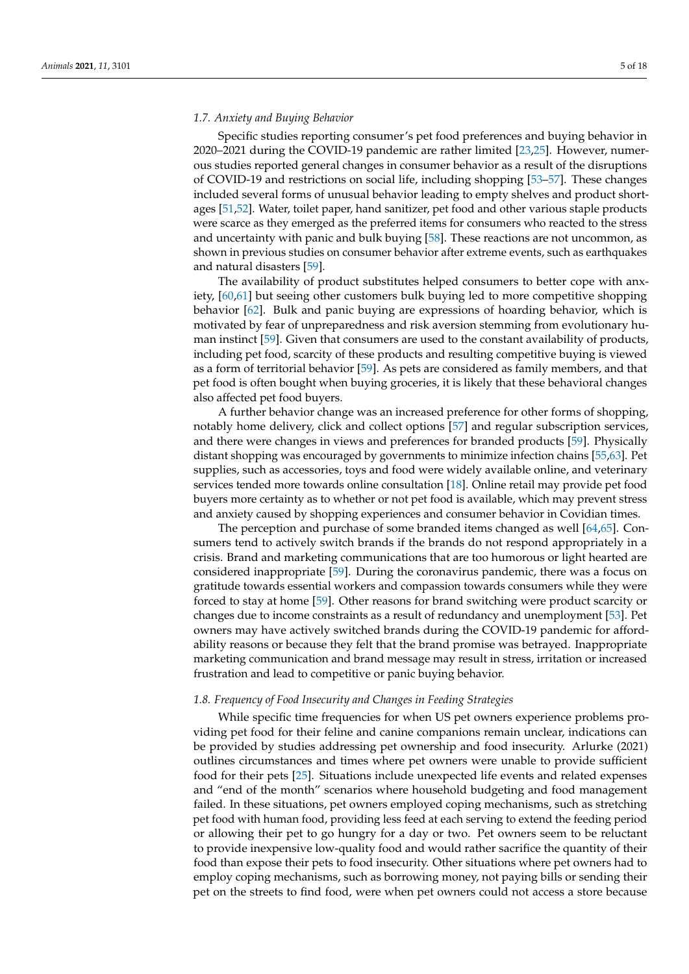# *1.7. Anxiety and Buying Behavior*

Specific studies reporting consumer's pet food preferences and buying behavior in 2020–2021 during the COVID-19 pandemic are rather limited [\[23](#page-15-11)[,25\]](#page-15-13). However, numerous studies reported general changes in consumer behavior as a result of the disruptions of COVID-19 and restrictions on social life, including shopping [\[53–](#page-16-13)[57\]](#page-16-14). These changes included several forms of unusual behavior leading to empty shelves and product shortages [\[51,](#page-16-11)[52\]](#page-16-12). Water, toilet paper, hand sanitizer, pet food and other various staple products were scarce as they emerged as the preferred items for consumers who reacted to the stress and uncertainty with panic and bulk buying [\[58\]](#page-16-15). These reactions are not uncommon, as shown in previous studies on consumer behavior after extreme events, such as earthquakes and natural disasters [\[59\]](#page-16-16).

The availability of product substitutes helped consumers to better cope with anxiety, [\[60](#page-16-17)[,61\]](#page-16-18) but seeing other customers bulk buying led to more competitive shopping behavior [\[62\]](#page-16-19). Bulk and panic buying are expressions of hoarding behavior, which is motivated by fear of unpreparedness and risk aversion stemming from evolutionary human instinct [\[59\]](#page-16-16). Given that consumers are used to the constant availability of products, including pet food, scarcity of these products and resulting competitive buying is viewed as a form of territorial behavior [\[59\]](#page-16-16). As pets are considered as family members, and that pet food is often bought when buying groceries, it is likely that these behavioral changes also affected pet food buyers.

A further behavior change was an increased preference for other forms of shopping, notably home delivery, click and collect options [\[57\]](#page-16-14) and regular subscription services, and there were changes in views and preferences for branded products [\[59\]](#page-16-16). Physically distant shopping was encouraged by governments to minimize infection chains [\[55](#page-16-20)[,63\]](#page-16-21). Pet supplies, such as accessories, toys and food were widely available online, and veterinary services tended more towards online consultation [\[18\]](#page-15-6). Online retail may provide pet food buyers more certainty as to whether or not pet food is available, which may prevent stress and anxiety caused by shopping experiences and consumer behavior in Covidian times.

The perception and purchase of some branded items changed as well [\[64,](#page-16-22)[65\]](#page-16-23). Consumers tend to actively switch brands if the brands do not respond appropriately in a crisis. Brand and marketing communications that are too humorous or light hearted are considered inappropriate [\[59\]](#page-16-16). During the coronavirus pandemic, there was a focus on gratitude towards essential workers and compassion towards consumers while they were forced to stay at home [\[59\]](#page-16-16). Other reasons for brand switching were product scarcity or changes due to income constraints as a result of redundancy and unemployment [\[53\]](#page-16-13). Pet owners may have actively switched brands during the COVID-19 pandemic for affordability reasons or because they felt that the brand promise was betrayed. Inappropriate marketing communication and brand message may result in stress, irritation or increased frustration and lead to competitive or panic buying behavior.

#### *1.8. Frequency of Food Insecurity and Changes in Feeding Strategies*

While specific time frequencies for when US pet owners experience problems providing pet food for their feline and canine companions remain unclear, indications can be provided by studies addressing pet ownership and food insecurity. Arlurke (2021) outlines circumstances and times where pet owners were unable to provide sufficient food for their pets [\[25\]](#page-15-13). Situations include unexpected life events and related expenses and "end of the month" scenarios where household budgeting and food management failed. In these situations, pet owners employed coping mechanisms, such as stretching pet food with human food, providing less feed at each serving to extend the feeding period or allowing their pet to go hungry for a day or two. Pet owners seem to be reluctant to provide inexpensive low-quality food and would rather sacrifice the quantity of their food than expose their pets to food insecurity. Other situations where pet owners had to employ coping mechanisms, such as borrowing money, not paying bills or sending their pet on the streets to find food, were when pet owners could not access a store because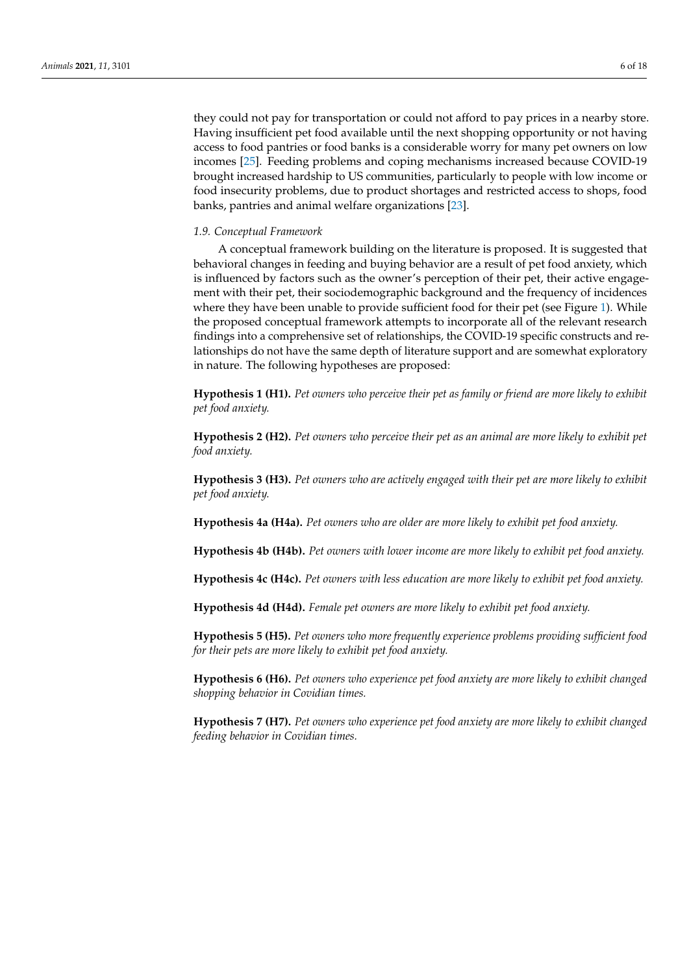they could not pay for transportation or could not afford to pay prices in a nearby store. Having insufficient pet food available until the next shopping opportunity or not having access to food pantries or food banks is a considerable worry for many pet owners on low incomes [\[25\]](#page-15-13). Feeding problems and coping mechanisms increased because COVID-19 brought increased hardship to US communities, particularly to people with low income or food insecurity problems, due to product shortages and restricted access to shops, food banks, pantries and animal welfare organizations [\[23\]](#page-15-11).

#### *1.9. Conceptual Framework*

A conceptual framework building on the literature is proposed. It is suggested that behavioral changes in feeding and buying behavior are a result of pet food anxiety, which is influenced by factors such as the owner's perception of their pet, their active engagement with their pet, their sociodemographic background and the frequency of incidences where they have been unable to provide sufficient food for their pet (see Figure [1\)](#page-6-0). While the proposed conceptual framework attempts to incorporate all of the relevant research findings into a comprehensive set of relationships, the COVID-19 specific constructs and relationships do not have the same depth of literature support and are somewhat exploratory in nature. The following hypotheses are proposed:

**Hypothesis 1 (H1).** *Pet owners who perceive their pet as family or friend are more likely to exhibit pet food anxiety.*

**Hypothesis 2 (H2).** *Pet owners who perceive their pet as an animal are more likely to exhibit pet food anxiety.*

**Hypothesis 3 (H3).** *Pet owners who are actively engaged with their pet are more likely to exhibit pet food anxiety.*

**Hypothesis 4a (H4a).** *Pet owners who are older are more likely to exhibit pet food anxiety.*

**Hypothesis 4b (H4b).** *Pet owners with lower income are more likely to exhibit pet food anxiety.*

**Hypothesis 4c (H4c).** *Pet owners with less education are more likely to exhibit pet food anxiety.*

**Hypothesis 4d (H4d).** *Female pet owners are more likely to exhibit pet food anxiety.*

**Hypothesis 5 (H5).** *Pet owners who more frequently experience problems providing sufficient food for their pets are more likely to exhibit pet food anxiety.*

**Hypothesis 6 (H6).** *Pet owners who experience pet food anxiety are more likely to exhibit changed shopping behavior in Covidian times.*

**Hypothesis 7 (H7).** *Pet owners who experience pet food anxiety are more likely to exhibit changed feeding behavior in Covidian times.*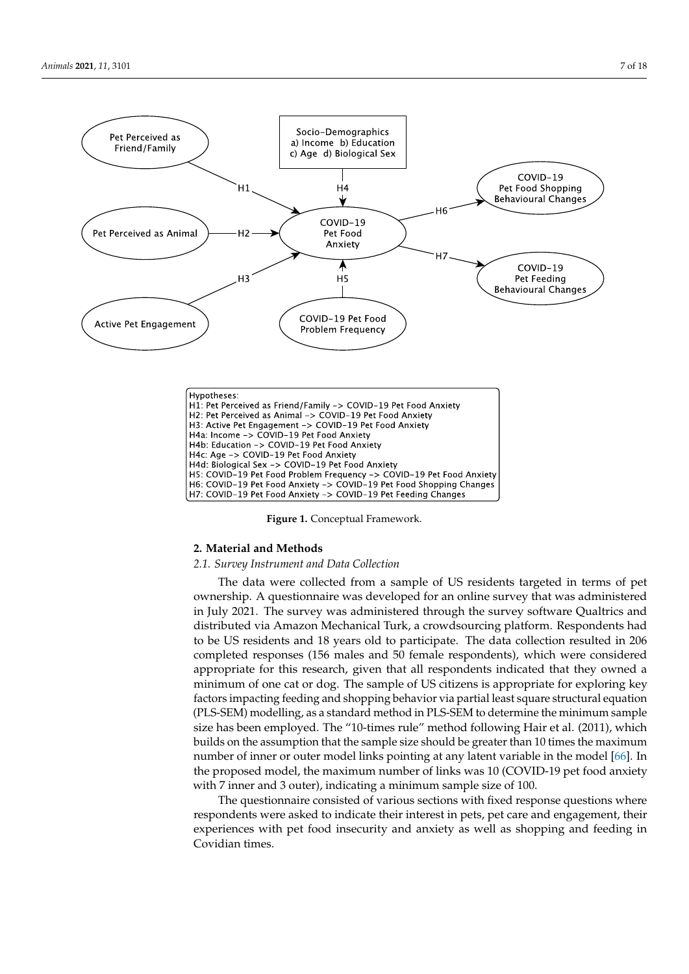<span id="page-6-0"></span>

| H1: Pet Perceived as Friend/Family -> COVID-19 Pet Food Anxiety      |
|----------------------------------------------------------------------|
| H2: Pet Perceived as Animal -> COVID-19 Pet Food Anxiety             |
| H3: Active Pet Engagement -> COVID-19 Pet Food Anxiety               |
| H4a: Income -> COVID-19 Pet Food Anxiety                             |
| H4b: Education -> COVID-19 Pet Food Anxiety                          |
|                                                                      |
| H4d: Biological Sex -> COVID-19 Pet Food Anxiety                     |
| H5: COVID-19 Pet Food Problem Frequency -> COVID-19 Pet Food Anxiety |
| H6: COVID-19 Pet Food Anxiety -> COVID-19 Pet Food Shopping Changes  |
| H7: COVID-19 Pet Food Anxiety -> COVID-19 Pet Feeding Changes        |
| H4c: Age -> COVID-19 Pet Food Anxiety                                |

**Figure 1.** Conceptual Framework**. Figure 1.** Conceptual Framework.

## **2. Material and Methods**

# 2.1. Survey Instrument and Data Collection

The data were collected from a sample of US residents targeted in terms of pet ownership. A questionnane was developed for an online survey that was administered<br>in July 2021. The survey was administered through the survey software Qualtrics and distributed via Amazon Mechanical Turk, a crowdsourcing platform. Respondents had to be US residents and 18 years old to participate. The data collection resulted in 206 completed responses (156 males and 50 female respondents), which were considered appropriate for this research, given that all respondents indicated that they owned a<br>appropriate for this research, given that all respondents indicated that they owned a naturality of one can or angle the sample of observations is appropriate for supporting they factors impacting feeding and shopping behavior via partial least square structural equation (PLS-SEM) modelling, as a standard method in PLS-SEM to determine the minimum sample size has been employed. The "10-times rule" method following Hair et al. (2011), which builds on the assumption that the sample size should be greater than 10 times the maximum<br>builds on the assumption that the sample size should be greater than 10 times the maximum the proposed model, the maximum number of links was 10 (COVID-19 pet food anxiety with  $7 \text{ inner}$  and 3 outer), indicating a minimum sample size of 100. ownership. A questionnaire was developed for an online survey that was administered minimum of one cat or dog. The sample of US citizens is appropriate for exploring key number of inner or outer model links pointing at any latent variable in the model [\[66\]](#page-16-24). In

The questionnaire consisted of various sections with fixed response questions where respondents were asked to indicate their interest in pets, pet care and engagement, their experiences with pet food insecurity and anxiety as well as shopping and feeding in<br>Covidian times inner and 3 outer), indicating a minimum sample size of 100. Covidian times.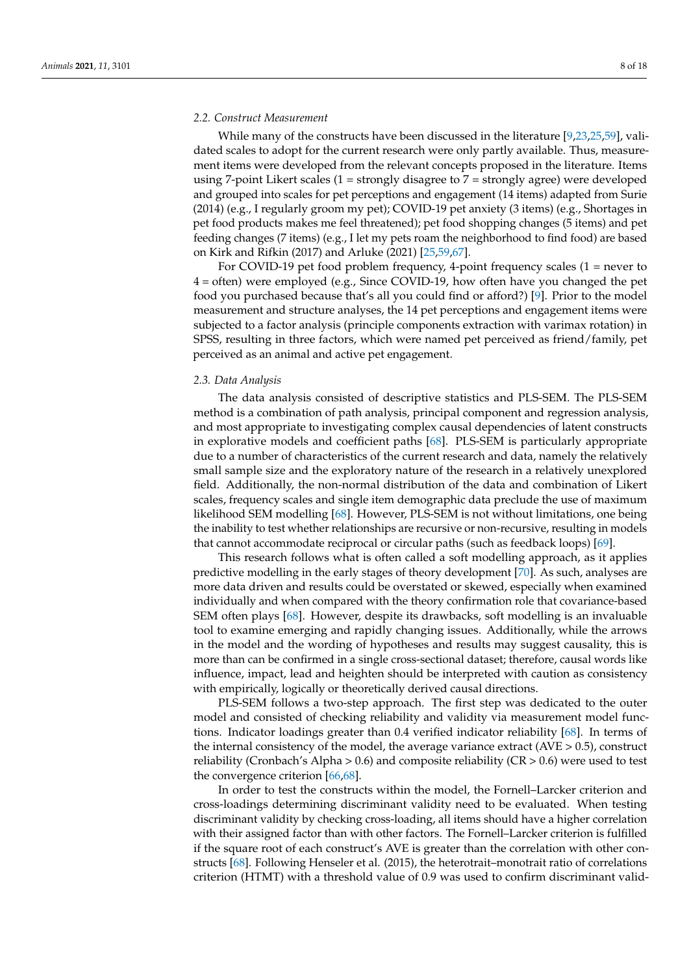#### *2.2. Construct Measurement*

While many of the constructs have been discussed in the literature [\[9,](#page-15-1)[23,](#page-15-11)[25,](#page-15-13)[59\]](#page-16-16), validated scales to adopt for the current research were only partly available. Thus, measurement items were developed from the relevant concepts proposed in the literature. Items using 7-point Likert scales (1 = strongly disagree to 7 = strongly agree) were developed and grouped into scales for pet perceptions and engagement (14 items) adapted from Surie (2014) (e.g., I regularly groom my pet); COVID-19 pet anxiety (3 items) (e.g., Shortages in pet food products makes me feel threatened); pet food shopping changes (5 items) and pet feeding changes (7 items) (e.g., I let my pets roam the neighborhood to find food) are based on Kirk and Rifkin (2017) and Arluke (2021) [\[25,](#page-15-13)[59,](#page-16-16)[67\]](#page-16-25).

For COVID-19 pet food problem frequency, 4-point frequency scales  $(1 =$  never to 4 = often) were employed (e.g., Since COVID-19, how often have you changed the pet food you purchased because that's all you could find or afford?) [\[9\]](#page-15-1). Prior to the model measurement and structure analyses, the 14 pet perceptions and engagement items were subjected to a factor analysis (principle components extraction with varimax rotation) in SPSS, resulting in three factors, which were named pet perceived as friend/family, pet perceived as an animal and active pet engagement.

#### *2.3. Data Analysis*

The data analysis consisted of descriptive statistics and PLS-SEM. The PLS-SEM method is a combination of path analysis, principal component and regression analysis, and most appropriate to investigating complex causal dependencies of latent constructs in explorative models and coefficient paths [\[68\]](#page-16-26). PLS-SEM is particularly appropriate due to a number of characteristics of the current research and data, namely the relatively small sample size and the exploratory nature of the research in a relatively unexplored field. Additionally, the non-normal distribution of the data and combination of Likert scales, frequency scales and single item demographic data preclude the use of maximum likelihood SEM modelling [\[68\]](#page-16-26). However, PLS-SEM is not without limitations, one being the inability to test whether relationships are recursive or non-recursive, resulting in models that cannot accommodate reciprocal or circular paths (such as feedback loops) [\[69\]](#page-17-0).

This research follows what is often called a soft modelling approach, as it applies predictive modelling in the early stages of theory development [\[70\]](#page-17-1). As such, analyses are more data driven and results could be overstated or skewed, especially when examined individually and when compared with the theory confirmation role that covariance-based SEM often plays [\[68\]](#page-16-26). However, despite its drawbacks, soft modelling is an invaluable tool to examine emerging and rapidly changing issues. Additionally, while the arrows in the model and the wording of hypotheses and results may suggest causality, this is more than can be confirmed in a single cross-sectional dataset; therefore, causal words like influence, impact, lead and heighten should be interpreted with caution as consistency with empirically, logically or theoretically derived causal directions.

PLS-SEM follows a two-step approach. The first step was dedicated to the outer model and consisted of checking reliability and validity via measurement model functions. Indicator loadings greater than 0.4 verified indicator reliability [\[68\]](#page-16-26). In terms of the internal consistency of the model, the average variance extract  $(AVE > 0.5)$ , construct reliability (Cronbach's Alpha > 0.6) and composite reliability ( $CR$  > 0.6) were used to test the convergence criterion [\[66](#page-16-24)[,68\]](#page-16-26).

In order to test the constructs within the model, the Fornell–Larcker criterion and cross-loadings determining discriminant validity need to be evaluated. When testing discriminant validity by checking cross-loading, all items should have a higher correlation with their assigned factor than with other factors. The Fornell–Larcker criterion is fulfilled if the square root of each construct's AVE is greater than the correlation with other constructs [\[68\]](#page-16-26). Following Henseler et al. (2015), the heterotrait–monotrait ratio of correlations criterion (HTMT) with a threshold value of 0.9 was used to confirm discriminant valid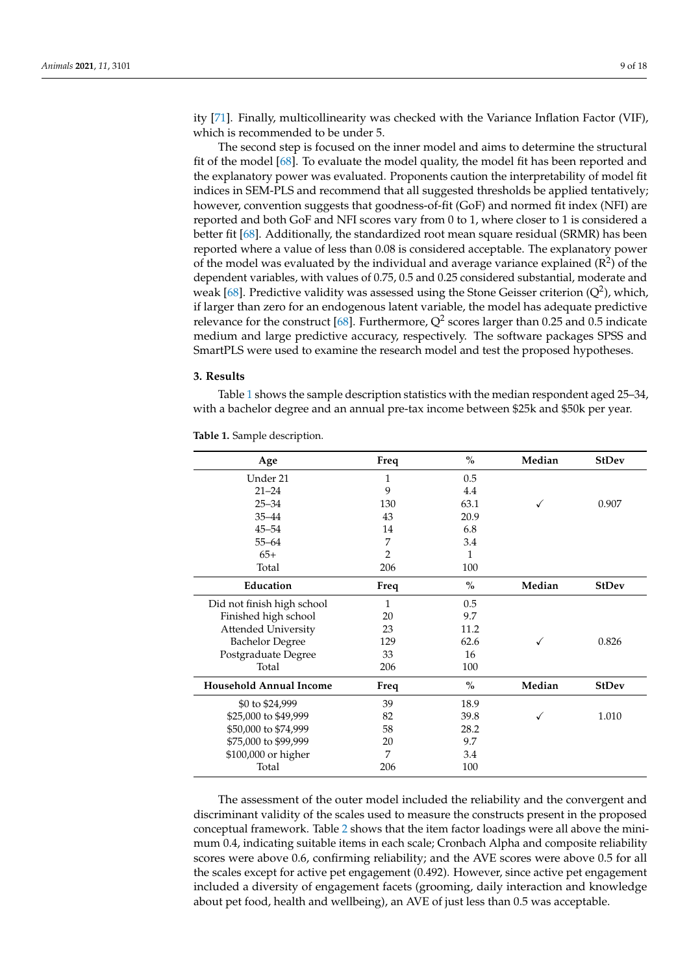ity [\[71\]](#page-17-2). Finally, multicollinearity was checked with the Variance Inflation Factor (VIF), which is recommended to be under 5.

The second step is focused on the inner model and aims to determine the structural fit of the model [\[68\]](#page-16-26). To evaluate the model quality, the model fit has been reported and the explanatory power was evaluated. Proponents caution the interpretability of model fit indices in SEM-PLS and recommend that all suggested thresholds be applied tentatively; however, convention suggests that goodness-of-fit (GoF) and normed fit index (NFI) are reported and both GoF and NFI scores vary from 0 to 1, where closer to 1 is considered a better fit [\[68\]](#page-16-26). Additionally, the standardized root mean square residual (SRMR) has been reported where a value of less than 0.08 is considered acceptable. The explanatory power of the model was evaluated by the individual and average variance explained  $(R^2)$  of the dependent variables, with values of 0.75, 0.5 and 0.25 considered substantial, moderate and weak [\[68\]](#page-16-26). Predictive validity was assessed using the Stone Geisser criterion  $(Q^2)$ , which, if larger than zero for an endogenous latent variable, the model has adequate predictive relevance for the construct [\[68\]](#page-16-26). Furthermore,  $Q^2$  scores larger than 0.25 and 0.5 indicate medium and large predictive accuracy, respectively. The software packages SPSS and SmartPLS were used to examine the research model and test the proposed hypotheses.

#### **3. Results**

Table [1](#page-8-0) shows the sample description statistics with the median respondent aged 25–34, with a bachelor degree and an annual pre-tax income between \$25k and \$50k per year.

| Age                            | Freq           | $\%$         | Median | <b>StDev</b> |
|--------------------------------|----------------|--------------|--------|--------------|
| Under 21                       | 1              | 0.5          |        |              |
| $21 - 24$                      | 9              | 4.4          |        |              |
| $25 - 34$                      | 130            | 63.1         |        | 0.907        |
| $35 - 44$                      | 43             | 20.9         |        |              |
| $45 - 54$                      | 14             | 6.8          |        |              |
| $55 - 64$                      | 7              | 3.4          |        |              |
| $65+$                          | $\overline{2}$ | $\mathbf{1}$ |        |              |
| Total                          | 206            | 100          |        |              |
| Education                      | Freq           | $\%$         | Median | <b>StDev</b> |
| Did not finish high school     | 1              | 0.5          |        |              |
| Finished high school           | 20             | 9.7          |        |              |
| <b>Attended University</b>     | 23             | 11.2         |        |              |
| <b>Bachelor Degree</b>         | 129            | 62.6         |        | 0.826        |
| Postgraduate Degree            | 33             | 16           |        |              |
| Total                          | 206            | 100          |        |              |
| <b>Household Annual Income</b> | Freq           | $\%$         | Median | <b>StDev</b> |
| \$0 to \$24,999                | 39             | 18.9         |        |              |
| \$25,000 to \$49,999           | 82             | 39.8         |        | 1.010        |
| \$50,000 to \$74,999           | 58             | 28.2         |        |              |
| \$75,000 to \$99,999           | 20             | 9.7          |        |              |
| \$100,000 or higher            | 7              | 3.4          |        |              |
| Total                          | 206            | 100          |        |              |

<span id="page-8-0"></span>**Table 1.** Sample description.

The assessment of the outer model included the reliability and the convergent and discriminant validity of the scales used to measure the constructs present in the proposed conceptual framework. Table [2](#page-10-0) shows that the item factor loadings were all above the minimum 0.4, indicating suitable items in each scale; Cronbach Alpha and composite reliability scores were above 0.6, confirming reliability; and the AVE scores were above 0.5 for all the scales except for active pet engagement (0.492). However, since active pet engagement included a diversity of engagement facets (grooming, daily interaction and knowledge about pet food, health and wellbeing), an AVE of just less than 0.5 was acceptable.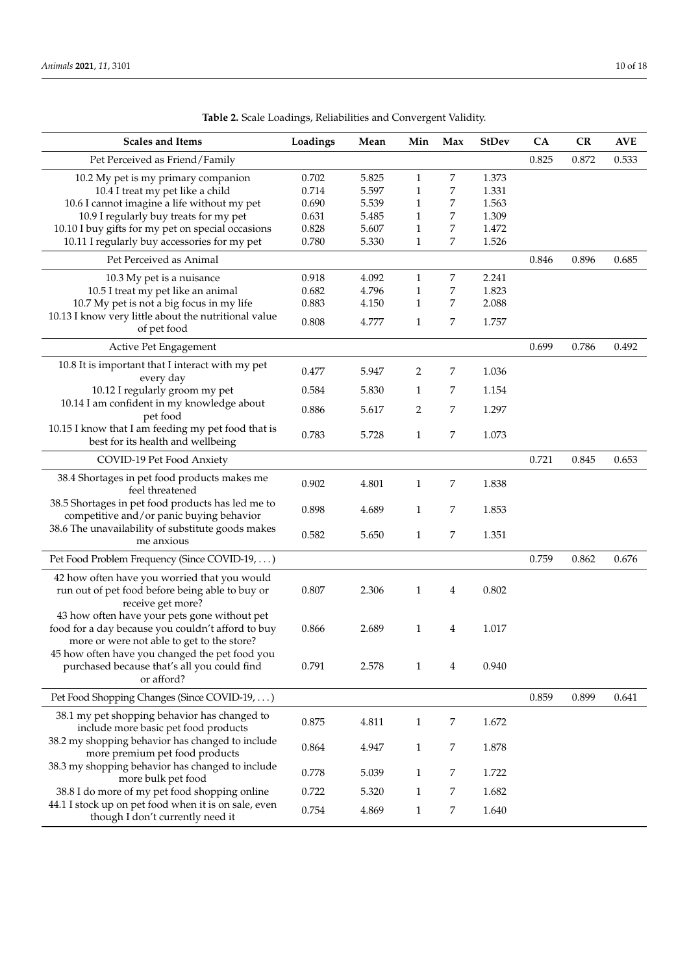| <b>Scales and Items</b>                                                                       | Loadings | Mean  | Min          | Max | <b>StDev</b> | CA    | CR    | <b>AVE</b> |
|-----------------------------------------------------------------------------------------------|----------|-------|--------------|-----|--------------|-------|-------|------------|
| Pet Perceived as Friend/Family                                                                |          |       |              |     |              | 0.825 | 0.872 | 0.533      |
| 10.2 My pet is my primary companion                                                           | 0.702    | 5.825 | $\mathbf{1}$ | 7   | 1.373        |       |       |            |
| 10.4 I treat my pet like a child                                                              | 0.714    | 5.597 | $\mathbf{1}$ | 7   | 1.331        |       |       |            |
| 10.6 I cannot imagine a life without my pet                                                   | 0.690    | 5.539 | 1            | 7   | 1.563        |       |       |            |
| 10.9 I regularly buy treats for my pet                                                        | 0.631    | 5.485 | 1            | 7   | 1.309        |       |       |            |
| 10.10 I buy gifts for my pet on special occasions                                             | 0.828    | 5.607 | $\mathbf{1}$ | 7   | 1.472        |       |       |            |
| 10.11 I regularly buy accessories for my pet                                                  | 0.780    | 5.330 | $\mathbf{1}$ | 7   | 1.526        |       |       |            |
| Pet Perceived as Animal                                                                       |          |       |              |     |              | 0.846 | 0.896 | 0.685      |
| 10.3 My pet is a nuisance                                                                     | 0.918    | 4.092 | $\mathbf{1}$ | 7   | 2.241        |       |       |            |
| 10.5 I treat my pet like an animal                                                            | 0.682    | 4.796 | 1            | 7   | 1.823        |       |       |            |
| 10.7 My pet is not a big focus in my life                                                     | 0.883    | 4.150 | 1            | 7   | 2.088        |       |       |            |
| 10.13 I know very little about the nutritional value                                          |          |       |              |     |              |       |       |            |
| of pet food                                                                                   | 0.808    | 4.777 | $\mathbf{1}$ | 7   | 1.757        |       |       |            |
| Active Pet Engagement                                                                         |          |       |              |     |              | 0.699 | 0.786 | 0.492      |
| 10.8 It is important that I interact with my pet                                              |          |       |              |     |              |       |       |            |
| every day                                                                                     | 0.477    | 5.947 | 2            | 7   | 1.036        |       |       |            |
| 10.12 I regularly groom my pet                                                                | 0.584    | 5.830 | 1            | 7   | 1.154        |       |       |            |
| 10.14 I am confident in my knowledge about                                                    | 0.886    | 5.617 | 2            | 7   | 1.297        |       |       |            |
| pet food                                                                                      |          |       |              |     |              |       |       |            |
| 10.15 I know that I am feeding my pet food that is<br>best for its health and wellbeing       | 0.783    | 5.728 | $\mathbf{1}$ | 7   | 1.073        |       |       |            |
| COVID-19 Pet Food Anxiety                                                                     |          |       |              |     |              | 0.721 | 0.845 | 0.653      |
| 38.4 Shortages in pet food products makes me<br>feel threatened                               | 0.902    | 4.801 | $\mathbf{1}$ | 7   | 1.838        |       |       |            |
| 38.5 Shortages in pet food products has led me to<br>competitive and/or panic buying behavior | 0.898    | 4.689 | 1            | 7   | 1.853        |       |       |            |
| 38.6 The unavailability of substitute goods makes<br>me anxious                               | 0.582    | 5.650 | $\mathbf{1}$ | 7   | 1.351        |       |       |            |
| Pet Food Problem Frequency (Since COVID-19, )                                                 |          |       |              |     |              | 0.759 | 0.862 | 0.676      |
| 42 how often have you worried that you would                                                  |          |       |              |     |              |       |       |            |
| run out of pet food before being able to buy or                                               | 0.807    | 2.306 | $\mathbf{1}$ | 4   | 0.802        |       |       |            |
| receive get more?<br>43 how often have your pets gone without pet                             |          |       |              |     |              |       |       |            |
| food for a day because you couldn't afford to buy                                             | 0.866    | 2.689 | $\mathbf{1}$ | 4   | 1.017        |       |       |            |
| more or were not able to get to the store?                                                    |          |       |              |     |              |       |       |            |
| 45 how often have you changed the pet food you                                                |          |       |              |     |              |       |       |            |
| purchased because that's all you could find<br>or afford?                                     | 0.791    | 2.578 | $\mathbf{1}$ | 4   | 0.940        |       |       |            |
|                                                                                               |          |       |              |     |              |       |       |            |
| Pet Food Shopping Changes (Since COVID-19, )                                                  |          |       |              |     |              | 0.859 | 0.899 | 0.641      |
| 38.1 my pet shopping behavior has changed to<br>include more basic pet food products          | 0.875    | 4.811 | 1            | 7   | 1.672        |       |       |            |
| 38.2 my shopping behavior has changed to include<br>more premium pet food products            | 0.864    | 4.947 | 1            | 7   | 1.878        |       |       |            |
| 38.3 my shopping behavior has changed to include<br>more bulk pet food                        | 0.778    | 5.039 | $\mathbf{1}$ | 7   | 1.722        |       |       |            |
| 38.8 I do more of my pet food shopping online                                                 | 0.722    | 5.320 | $\mathbf{1}$ | 7   | 1.682        |       |       |            |
| 44.1 I stock up on pet food when it is on sale, even<br>though I don't currently need it      | 0.754    | 4.869 | $\mathbf{1}$ | 7   | 1.640        |       |       |            |

**Table 2.** Scale Loadings, Reliabilities and Convergent Validity.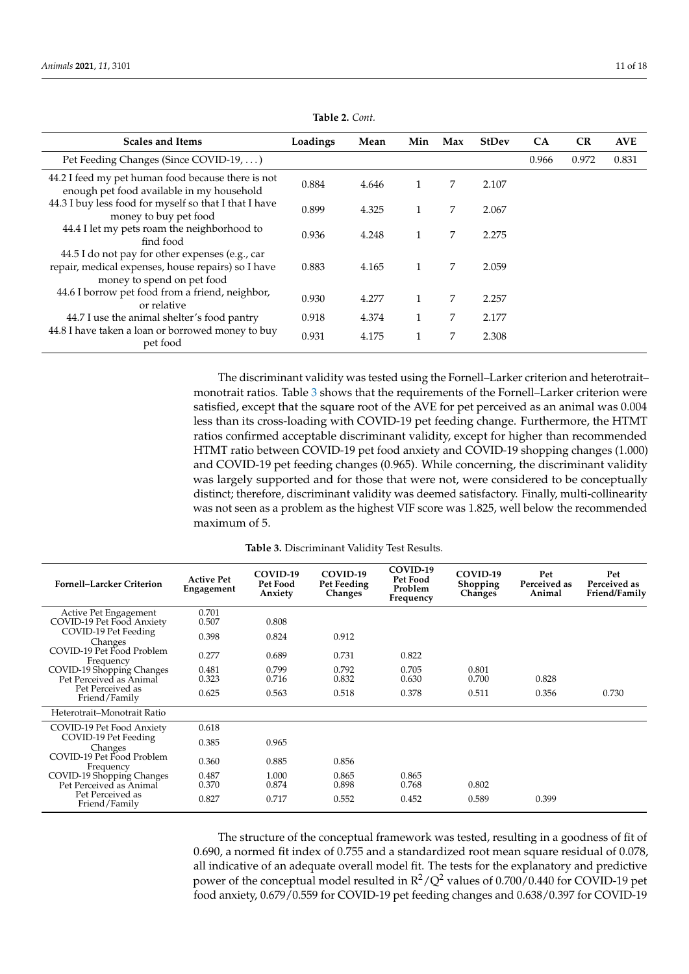<span id="page-10-0"></span>

| <b>Scales and Items</b>                                                                                                             | Loadings | Mean  | Min | Max | <b>StDev</b> | CA    | CR    | <b>AVE</b> |
|-------------------------------------------------------------------------------------------------------------------------------------|----------|-------|-----|-----|--------------|-------|-------|------------|
| Pet Feeding Changes (Since COVID-19, )                                                                                              |          |       |     |     |              | 0.966 | 0.972 | 0.831      |
| 44.2 I feed my pet human food because there is not<br>enough pet food available in my household                                     | 0.884    | 4.646 | 1   | 7   | 2.107        |       |       |            |
| 44.3 I buy less food for myself so that I that I have<br>money to buy pet food                                                      | 0.899    | 4.325 | 1   | 7   | 2.067        |       |       |            |
| 44.4 I let my pets roam the neighborhood to<br>find food                                                                            | 0.936    | 4.248 | 1   | 7   | 2.275        |       |       |            |
| 44.5 I do not pay for other expenses (e.g., car<br>repair, medical expenses, house repairs) so I have<br>money to spend on pet food | 0.883    | 4.165 | 1   | 7   | 2.059        |       |       |            |
| 44.6 I borrow pet food from a friend, neighbor,<br>or relative                                                                      | 0.930    | 4.277 | 1   | 7   | 2.257        |       |       |            |
| 44.7 I use the animal shelter's food pantry                                                                                         | 0.918    | 4.374 | 1   | 7   | 2.177        |       |       |            |
| 44.8 I have taken a loan or borrowed money to buy<br>pet food                                                                       | 0.931    | 4.175 | 1   | 7   | 2.308        |       |       |            |

**Table 2.** *Cont.*

The discriminant validity was tested using the Fornell–Larker criterion and heterotrait– monotrait ratios. Table [3](#page-10-1) shows that the requirements of the Fornell–Larker criterion were satisfied, except that the square root of the AVE for pet perceived as an animal was 0.004 less than its cross-loading with COVID-19 pet feeding change. Furthermore, the HTMT ratios confirmed acceptable discriminant validity, except for higher than recommended HTMT ratio between COVID-19 pet food anxiety and COVID-19 shopping changes (1.000) and COVID-19 pet feeding changes (0.965). While concerning, the discriminant validity was largely supported and for those that were not, were considered to be conceptually distinct; therefore, discriminant validity was deemed satisfactory. Finally, multi-collinearity was not seen as a problem as the highest VIF score was 1.825, well below the recommended maximum of 5.

|  |  |  | <b>Table 3.</b> Discriminant Validity Test Results. |  |  |  |  |  |
|--|--|--|-----------------------------------------------------|--|--|--|--|--|
|--|--|--|-----------------------------------------------------|--|--|--|--|--|

<span id="page-10-1"></span>

| <b>Fornell-Larcker Criterion</b>                   | <b>Active Pet</b><br>Engagement | COVID-19<br>Pet Food<br>Anxiety | COVID-19<br>Pet Feeding<br>Changes | COVID-19<br>Pet Food<br>Problem<br>Frequency | COVID-19<br>Shopping<br>Changes | Pet<br>Perceived as<br>Animal | Pet<br>Perceived as<br>Friend/Family |
|----------------------------------------------------|---------------------------------|---------------------------------|------------------------------------|----------------------------------------------|---------------------------------|-------------------------------|--------------------------------------|
| Active Pet Engagement<br>COVID-19 Pet Food Anxiety | 0.701<br>0.507                  | 0.808                           |                                    |                                              |                                 |                               |                                      |
| COVID-19 Pet Feeding<br>Changes                    | 0.398                           | 0.824                           | 0.912                              |                                              |                                 |                               |                                      |
| COVID-19 Pet Food Problem<br>Frequency             | 0.277                           | 0.689                           | 0.731                              | 0.822                                        |                                 |                               |                                      |
| COVID-19 Shopping Changes                          | 0.481                           | 0.799                           | 0.792                              | 0.705                                        | 0.801                           |                               |                                      |
| Pet Perceived as Animal                            | 0.323                           | 0.716                           | 0.832                              | 0.630                                        | 0.700                           | 0.828                         |                                      |
| Pet Perceived as<br>Friend/Family                  | 0.625                           | 0.563                           | 0.518                              | 0.378                                        | 0.511                           | 0.356                         | 0.730                                |
| Heterotrait-Monotrait Ratio                        |                                 |                                 |                                    |                                              |                                 |                               |                                      |
| COVID-19 Pet Food Anxiety                          | 0.618                           |                                 |                                    |                                              |                                 |                               |                                      |
| COVID-19 Pet Feeding<br>Changes                    | 0.385                           | 0.965                           |                                    |                                              |                                 |                               |                                      |
| COVID-19 Pet Food Problem<br>Frequency             | 0.360                           | 0.885                           | 0.856                              |                                              |                                 |                               |                                      |
| COVID-19 Shopping Changes                          | 0.487                           | 1.000                           | 0.865                              | 0.865                                        |                                 |                               |                                      |
| Pet Perceived as Animal                            | 0.370                           | 0.874                           | 0.898                              | 0.768                                        | 0.802                           |                               |                                      |
| Pet Perceived as<br>Friend/Family                  | 0.827                           | 0.717                           | 0.552                              | 0.452                                        | 0.589                           | 0.399                         |                                      |

The structure of the conceptual framework was tested, resulting in a goodness of fit of 0.690, a normed fit index of 0.755 and a standardized root mean square residual of 0.078, all indicative of an adequate overall model fit. The tests for the explanatory and predictive power of the conceptual model resulted in  $R^2/Q^2$  values of 0.700/0.440 for COVID-19 pet food anxiety, 0.679/0.559 for COVID-19 pet feeding changes and 0.638/0.397 for COVID-19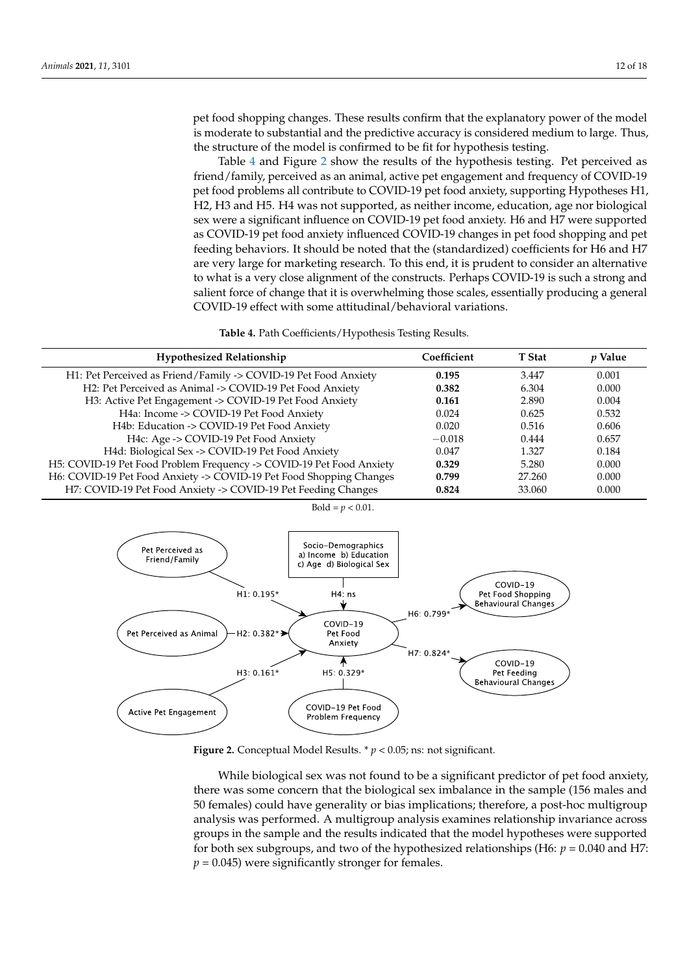pet food shopping changes. These results confirm that the explanatory power of the model is moderate to substantial and the predictive accuracy is considered medium to large. Thus, Is moderate to substantial and the predictive accuracy is considered med<br>the structure of the model is confirmed to be fit for hypothesis testing. tructure of the model is confirmed to be fit for hypothesis testing.<br>Table [4](#page-11-0) and Figure [2](#page-11-1) show the results of the hypothesis testing. Pet perceived as

Friend/family, perceived as an animal, active pet engagement and frequency of COVID-19 pet food problems all contribute to COVID-19 pet food anxiety supporting Hypotheses H1. pet food problems all contribute to COVID-19 pet food anxiety, supporting Hypotheses H1, H<sub>2</sub>, H<sub>3</sub> and H<sub>5</sub>. H<sub>4</sub> was not supported, as neither income, education, age nor biological sex were a significant influence on COVID-19 pet food anxiety. H6 and H7 were supported as COVID-19 pet food anxiety influenced COVID-19 changes in pet food shopping and pet feeding behaviors. It should be noted that the (standardized) coefficients for H6 and H7 are very large for marketing research. To this end, it is prudent to consider an alternative to what is a very close alignment of the constructs. Perhaps COVID-19 is such a strong and salient force of change that it is overwhelming those scales, essentially producing a general COVID-19 effect with some attitudinal/behavioral variations.

Table 4. Path Coefficients/Hypothesis Testing Results.

<span id="page-11-0"></span>

| <b>Hypothesized Relationship</b>                                     | Coefficient | <b>T</b> Stat | <i>p</i> Value |
|----------------------------------------------------------------------|-------------|---------------|----------------|
| H1: Pet Perceived as Friend/Family -> COVID-19 Pet Food Anxiety      | 0.195       | 3.447         | 0.001          |
| H2: Pet Perceived as Animal -> COVID-19 Pet Food Anxiety             | 0.382       | 6.304         | 0.000          |
| H3: Active Pet Engagement -> COVID-19 Pet Food Anxiety               | 0.161       | 2.890         | 0.004          |
| H4a: Income -> COVID-19 Pet Food Anxiety                             | 0.024       | 0.625         | 0.532          |
| H4b: Education -> COVID-19 Pet Food Anxiety                          | 0.020       | 0.516         | 0.606          |
| H4c: Age -> COVID-19 Pet Food Anxiety                                | $-0.018$    | 0.444         | 0.657          |
| H4d: Biological Sex -> COVID-19 Pet Food Anxiety                     | 0.047       | 1.327         | 0.184          |
| H5: COVID-19 Pet Food Problem Frequency -> COVID-19 Pet Food Anxiety | 0.329       | 5.280         | 0.000          |
| H6: COVID-19 Pet Food Anxiety -> COVID-19 Pet Food Shopping Changes  | 0.799       | 27.260        | 0.000          |
| H7: COVID-19 Pet Food Anxiety -> COVID-19 Pet Feeding Changes        | 0.824       | 33.060        | 0.000          |

 $Bold = p < 0.01$ .

<span id="page-11-1"></span>

**Figure 2.** Conceptual Model Results. \* *p* < 0.05; ns: not significant. **Figure 2.** Conceptual Model Results. \* *p* < 0.05; ns: not significant.

While biological sex was not found to be a significant predictor of pet food anxiety, there was some concern that the biological sex imbalance in the sample (156 males and 50 females) could have generality or bias implications; therefore, a post-hoc multigroup analysis was performed. A multigroup analysis examines relationship invariance across groups in the sample and the results indicated that the model hypotheses were supported for both sex subgroups, and two of the hypothesized relationships (H6: *p* = 0.040 and H7:  $p = 0.045$ ) were significantly stronger for females.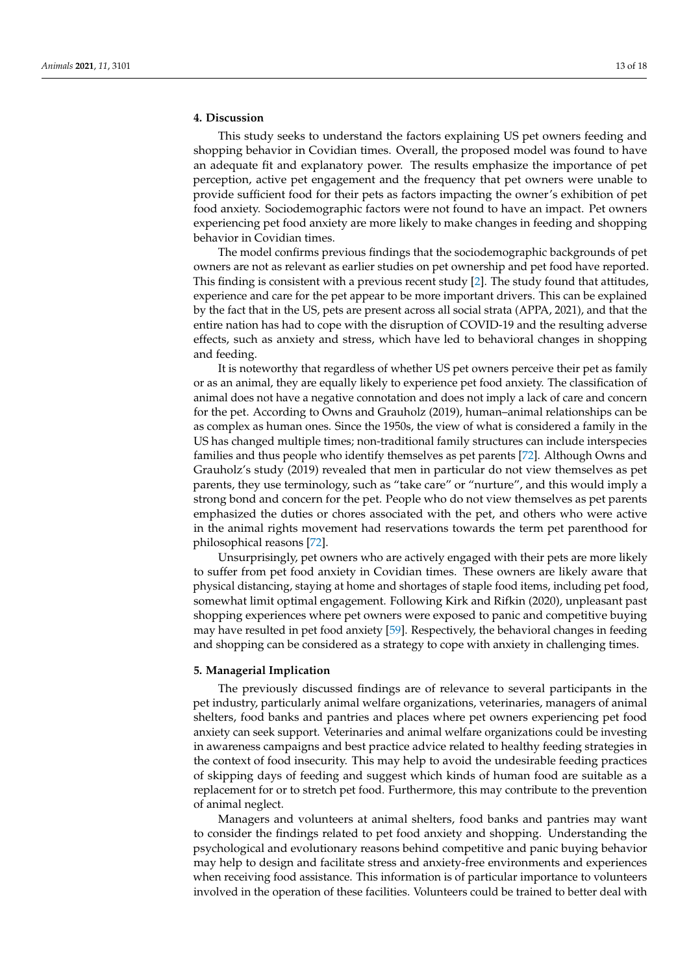# **4. Discussion**

This study seeks to understand the factors explaining US pet owners feeding and shopping behavior in Covidian times. Overall, the proposed model was found to have an adequate fit and explanatory power. The results emphasize the importance of pet perception, active pet engagement and the frequency that pet owners were unable to provide sufficient food for their pets as factors impacting the owner's exhibition of pet food anxiety. Sociodemographic factors were not found to have an impact. Pet owners experiencing pet food anxiety are more likely to make changes in feeding and shopping behavior in Covidian times.

The model confirms previous findings that the sociodemographic backgrounds of pet owners are not as relevant as earlier studies on pet ownership and pet food have reported. This finding is consistent with a previous recent study [\[2\]](#page-14-1). The study found that attitudes, experience and care for the pet appear to be more important drivers. This can be explained by the fact that in the US, pets are present across all social strata (APPA, 2021), and that the entire nation has had to cope with the disruption of COVID-19 and the resulting adverse effects, such as anxiety and stress, which have led to behavioral changes in shopping and feeding.

It is noteworthy that regardless of whether US pet owners perceive their pet as family or as an animal, they are equally likely to experience pet food anxiety. The classification of animal does not have a negative connotation and does not imply a lack of care and concern for the pet. According to Owns and Grauholz (2019), human–animal relationships can be as complex as human ones. Since the 1950s, the view of what is considered a family in the US has changed multiple times; non-traditional family structures can include interspecies families and thus people who identify themselves as pet parents [\[72\]](#page-17-3). Although Owns and Grauholz's study (2019) revealed that men in particular do not view themselves as pet parents, they use terminology, such as "take care" or "nurture", and this would imply a strong bond and concern for the pet. People who do not view themselves as pet parents emphasized the duties or chores associated with the pet, and others who were active in the animal rights movement had reservations towards the term pet parenthood for philosophical reasons [\[72\]](#page-17-3).

Unsurprisingly, pet owners who are actively engaged with their pets are more likely to suffer from pet food anxiety in Covidian times. These owners are likely aware that physical distancing, staying at home and shortages of staple food items, including pet food, somewhat limit optimal engagement. Following Kirk and Rifkin (2020), unpleasant past shopping experiences where pet owners were exposed to panic and competitive buying may have resulted in pet food anxiety [\[59\]](#page-16-16). Respectively, the behavioral changes in feeding and shopping can be considered as a strategy to cope with anxiety in challenging times.

#### **5. Managerial Implication**

The previously discussed findings are of relevance to several participants in the pet industry, particularly animal welfare organizations, veterinaries, managers of animal shelters, food banks and pantries and places where pet owners experiencing pet food anxiety can seek support. Veterinaries and animal welfare organizations could be investing in awareness campaigns and best practice advice related to healthy feeding strategies in the context of food insecurity. This may help to avoid the undesirable feeding practices of skipping days of feeding and suggest which kinds of human food are suitable as a replacement for or to stretch pet food. Furthermore, this may contribute to the prevention of animal neglect.

Managers and volunteers at animal shelters, food banks and pantries may want to consider the findings related to pet food anxiety and shopping. Understanding the psychological and evolutionary reasons behind competitive and panic buying behavior may help to design and facilitate stress and anxiety-free environments and experiences when receiving food assistance. This information is of particular importance to volunteers involved in the operation of these facilities. Volunteers could be trained to better deal with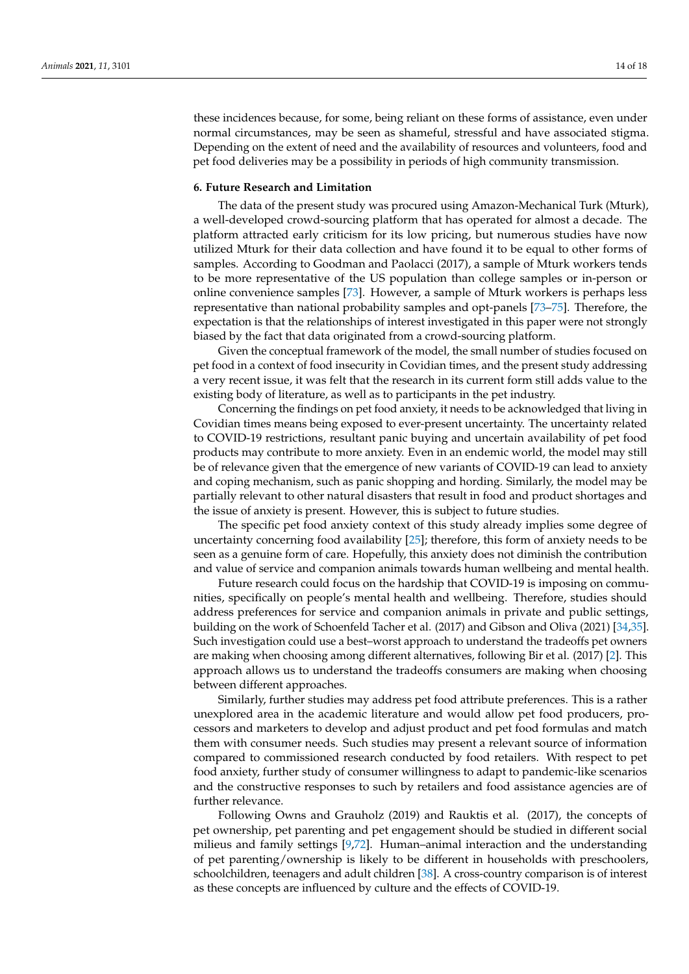these incidences because, for some, being reliant on these forms of assistance, even under normal circumstances, may be seen as shameful, stressful and have associated stigma. Depending on the extent of need and the availability of resources and volunteers, food and pet food deliveries may be a possibility in periods of high community transmission.

# **6. Future Research and Limitation**

The data of the present study was procured using Amazon-Mechanical Turk (Mturk), a well-developed crowd-sourcing platform that has operated for almost a decade. The platform attracted early criticism for its low pricing, but numerous studies have now utilized Mturk for their data collection and have found it to be equal to other forms of samples. According to Goodman and Paolacci (2017), a sample of Mturk workers tends to be more representative of the US population than college samples or in-person or online convenience samples [\[73\]](#page-17-4). However, a sample of Mturk workers is perhaps less representative than national probability samples and opt-panels [\[73–](#page-17-4)[75\]](#page-17-5). Therefore, the expectation is that the relationships of interest investigated in this paper were not strongly biased by the fact that data originated from a crowd-sourcing platform.

Given the conceptual framework of the model, the small number of studies focused on pet food in a context of food insecurity in Covidian times, and the present study addressing a very recent issue, it was felt that the research in its current form still adds value to the existing body of literature, as well as to participants in the pet industry.

Concerning the findings on pet food anxiety, it needs to be acknowledged that living in Covidian times means being exposed to ever-present uncertainty. The uncertainty related to COVID-19 restrictions, resultant panic buying and uncertain availability of pet food products may contribute to more anxiety. Even in an endemic world, the model may still be of relevance given that the emergence of new variants of COVID-19 can lead to anxiety and coping mechanism, such as panic shopping and hording. Similarly, the model may be partially relevant to other natural disasters that result in food and product shortages and the issue of anxiety is present. However, this is subject to future studies.

The specific pet food anxiety context of this study already implies some degree of uncertainty concerning food availability [\[25\]](#page-15-13); therefore, this form of anxiety needs to be seen as a genuine form of care. Hopefully, this anxiety does not diminish the contribution and value of service and companion animals towards human wellbeing and mental health.

Future research could focus on the hardship that COVID-19 is imposing on communities, specifically on people's mental health and wellbeing. Therefore, studies should address preferences for service and companion animals in private and public settings, building on the work of Schoenfeld Tacher et al. (2017) and Gibson and Oliva (2021) [\[34](#page-15-20)[,35\]](#page-15-21). Such investigation could use a best–worst approach to understand the tradeoffs pet owners are making when choosing among different alternatives, following Bir et al. (2017) [\[2\]](#page-14-1). This approach allows us to understand the tradeoffs consumers are making when choosing between different approaches.

Similarly, further studies may address pet food attribute preferences. This is a rather unexplored area in the academic literature and would allow pet food producers, processors and marketers to develop and adjust product and pet food formulas and match them with consumer needs. Such studies may present a relevant source of information compared to commissioned research conducted by food retailers. With respect to pet food anxiety, further study of consumer willingness to adapt to pandemic-like scenarios and the constructive responses to such by retailers and food assistance agencies are of further relevance.

Following Owns and Grauholz (2019) and Rauktis et al. (2017), the concepts of pet ownership, pet parenting and pet engagement should be studied in different social milieus and family settings [\[9](#page-15-1)[,72\]](#page-17-3). Human–animal interaction and the understanding of pet parenting/ownership is likely to be different in households with preschoolers, schoolchildren, teenagers and adult children [\[38\]](#page-16-0). A cross-country comparison is of interest as these concepts are influenced by culture and the effects of COVID-19.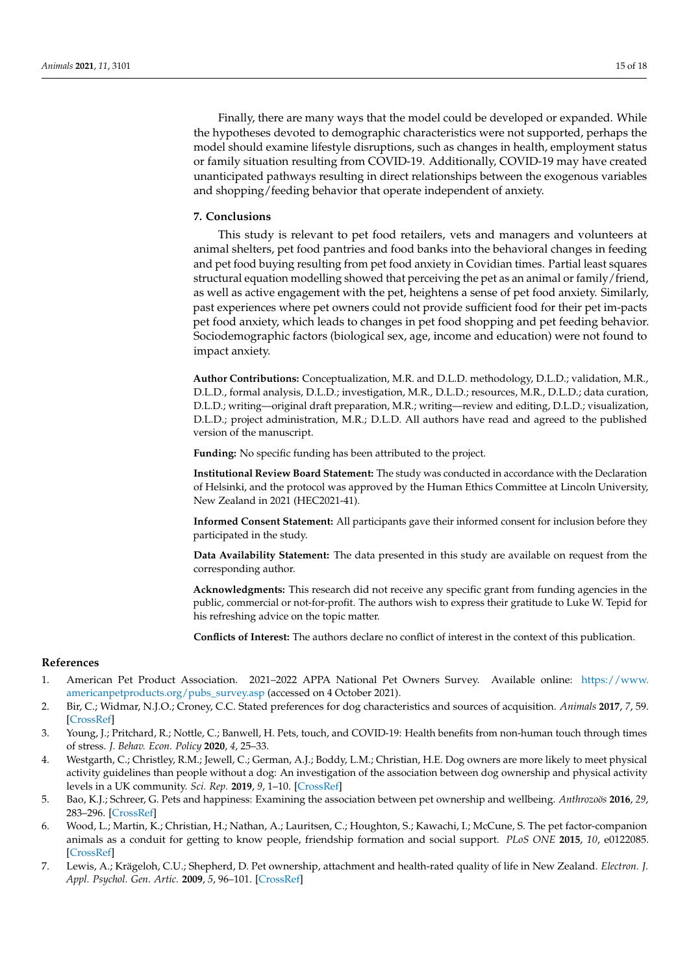Finally, there are many ways that the model could be developed or expanded. While the hypotheses devoted to demographic characteristics were not supported, perhaps the model should examine lifestyle disruptions, such as changes in health, employment status or family situation resulting from COVID-19. Additionally, COVID-19 may have created unanticipated pathways resulting in direct relationships between the exogenous variables and shopping/feeding behavior that operate independent of anxiety.

# **7. Conclusions**

This study is relevant to pet food retailers, vets and managers and volunteers at animal shelters, pet food pantries and food banks into the behavioral changes in feeding and pet food buying resulting from pet food anxiety in Covidian times. Partial least squares structural equation modelling showed that perceiving the pet as an animal or family/friend, as well as active engagement with the pet, heightens a sense of pet food anxiety. Similarly, past experiences where pet owners could not provide sufficient food for their pet im-pacts pet food anxiety, which leads to changes in pet food shopping and pet feeding behavior. Sociodemographic factors (biological sex, age, income and education) were not found to impact anxiety.

**Author Contributions:** Conceptualization, M.R. and D.L.D. methodology, D.L.D.; validation, M.R., D.L.D., formal analysis, D.L.D.; investigation, M.R., D.L.D.; resources, M.R., D.L.D.; data curation, D.L.D.; writing—original draft preparation, M.R.; writing—review and editing, D.L.D.; visualization, D.L.D.; project administration, M.R.; D.L.D. All authors have read and agreed to the published version of the manuscript.

**Funding:** No specific funding has been attributed to the project.

**Institutional Review Board Statement:** The study was conducted in accordance with the Declaration of Helsinki, and the protocol was approved by the Human Ethics Committee at Lincoln University, New Zealand in 2021 (HEC2021-41).

**Informed Consent Statement:** All participants gave their informed consent for inclusion before they participated in the study.

**Data Availability Statement:** The data presented in this study are available on request from the corresponding author.

**Acknowledgments:** This research did not receive any specific grant from funding agencies in the public, commercial or not-for-profit. The authors wish to express their gratitude to Luke W. Tepid for his refreshing advice on the topic matter.

**Conflicts of Interest:** The authors declare no conflict of interest in the context of this publication.

# **References**

- <span id="page-14-0"></span>1. American Pet Product Association. 2021–2022 APPA National Pet Owners Survey. Available online: [https://www.](https://www.americanpetproducts.org/pubs_survey.asp) [americanpetproducts.org/pubs\\_survey.asp](https://www.americanpetproducts.org/pubs_survey.asp) (accessed on 4 October 2021).
- <span id="page-14-1"></span>2. Bir, C.; Widmar, N.J.O.; Croney, C.C. Stated preferences for dog characteristics and sources of acquisition. *Animals* **2017**, *7*, 59. [\[CrossRef\]](http://doi.org/10.3390/ani7080059)
- <span id="page-14-2"></span>3. Young, J.; Pritchard, R.; Nottle, C.; Banwell, H. Pets, touch, and COVID-19: Health benefits from non-human touch through times of stress. *J. Behav. Econ. Policy* **2020**, *4*, 25–33.
- 4. Westgarth, C.; Christley, R.M.; Jewell, C.; German, A.J.; Boddy, L.M.; Christian, H.E. Dog owners are more likely to meet physical activity guidelines than people without a dog: An investigation of the association between dog ownership and physical activity levels in a UK community. *Sci. Rep.* **2019**, *9*, 1–10. [\[CrossRef\]](http://doi.org/10.1038/s41598-019-41254-6)
- 5. Bao, K.J.; Schreer, G. Pets and happiness: Examining the association between pet ownership and wellbeing. *Anthrozoös* **2016**, *29*, 283–296. [\[CrossRef\]](http://doi.org/10.1080/08927936.2016.1152721)
- 6. Wood, L.; Martin, K.; Christian, H.; Nathan, A.; Lauritsen, C.; Houghton, S.; Kawachi, I.; McCune, S. The pet factor-companion animals as a conduit for getting to know people, friendship formation and social support. *PLoS ONE* **2015**, *10*, e0122085. [\[CrossRef\]](http://doi.org/10.1371/journal.pone.0122085)
- <span id="page-14-3"></span>7. Lewis, A.; Krägeloh, C.U.; Shepherd, D. Pet ownership, attachment and health-rated quality of life in New Zealand. *Electron. J. Appl. Psychol. Gen. Artic.* **2009**, *5*, 96–101. [\[CrossRef\]](http://doi.org/10.7790/ejap.v5i1.138)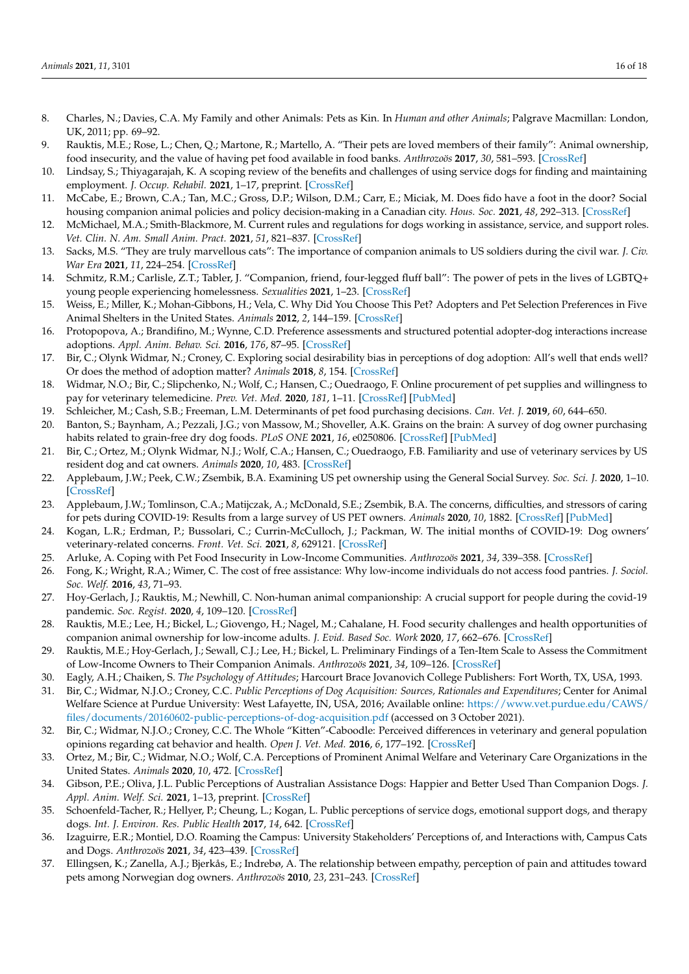- <span id="page-15-0"></span>8. Charles, N.; Davies, C.A. My Family and other Animals: Pets as Kin. In *Human and other Animals*; Palgrave Macmillan: London, UK, 2011; pp. 69–92.
- <span id="page-15-1"></span>9. Rauktis, M.E.; Rose, L.; Chen, Q.; Martone, R.; Martello, A. "Their pets are loved members of their family": Animal ownership, food insecurity, and the value of having pet food available in food banks. *Anthrozoös* **2017**, *30*, 581–593. [\[CrossRef\]](http://doi.org/10.1080/08927936.2017.1370225)
- <span id="page-15-2"></span>10. Lindsay, S.; Thiyagarajah, K. A scoping review of the benefits and challenges of using service dogs for finding and maintaining employment. *J. Occup. Rehabil.* **2021**, 1–17, preprint. [\[CrossRef\]](http://doi.org/10.1007/s10926-021-09980-9)
- 11. McCabe, E.; Brown, C.A.; Tan, M.C.; Gross, D.P.; Wilson, D.M.; Carr, E.; Miciak, M. Does fido have a foot in the door? Social housing companion animal policies and policy decision-making in a Canadian city. *Hous. Soc.* **2021**, *48*, 292–313. [\[CrossRef\]](http://doi.org/10.1080/08882746.2021.1881745)
- 12. McMichael, M.A.; Smith-Blackmore, M. Current rules and regulations for dogs working in assistance, service, and support roles. *Vet. Clin. N. Am. Small Anim. Pract.* **2021**, *51*, 821–837. [\[CrossRef\]](http://doi.org/10.1016/j.cvsm.2021.04.003)
- 13. Sacks, M.S. "They are truly marvellous cats": The importance of companion animals to US soldiers during the civil war. *J. Civ. War Era* **2021**, *11*, 224–254. [\[CrossRef\]](http://doi.org/10.1353/cwe.2021.0033)
- <span id="page-15-3"></span>14. Schmitz, R.M.; Carlisle, Z.T.; Tabler, J. "Companion, friend, four-legged fluff ball": The power of pets in the lives of LGBTQ+ young people experiencing homelessness. *Sexualities* **2021**, 1–23. [\[CrossRef\]](http://doi.org/10.1177/1363460720986908)
- <span id="page-15-4"></span>15. Weiss, E.; Miller, K.; Mohan-Gibbons, H.; Vela, C. Why Did You Choose This Pet? Adopters and Pet Selection Preferences in Five Animal Shelters in the United States. *Animals* **2012**, *2*, 144–159. [\[CrossRef\]](http://doi.org/10.3390/ani2020144)
- 16. Protopopova, A.; Brandifino, M.; Wynne, C.D. Preference assessments and structured potential adopter-dog interactions increase adoptions. *Appl. Anim. Behav. Sci.* **2016**, *176*, 87–95. [\[CrossRef\]](http://doi.org/10.1016/j.applanim.2015.12.003)
- <span id="page-15-5"></span>17. Bir, C.; Olynk Widmar, N.; Croney, C. Exploring social desirability bias in perceptions of dog adoption: All's well that ends well? Or does the method of adoption matter? *Animals* **2018**, *8*, 154. [\[CrossRef\]](http://doi.org/10.3390/ani8090154)
- <span id="page-15-6"></span>18. Widmar, N.O.; Bir, C.; Slipchenko, N.; Wolf, C.; Hansen, C.; Ouedraogo, F. Online procurement of pet supplies and willingness to pay for veterinary telemedicine. *Prev. Vet. Med.* **2020**, *181*, 1–11. [\[CrossRef\]](http://doi.org/10.1016/j.prevetmed.2020.105073) [\[PubMed\]](http://www.ncbi.nlm.nih.gov/pubmed/32634751)
- <span id="page-15-7"></span>19. Schleicher, M.; Cash, S.B.; Freeman, L.M. Determinants of pet food purchasing decisions. *Can. Vet. J.* **2019**, *60*, 644–650.
- <span id="page-15-8"></span>20. Banton, S.; Baynham, A.; Pezzali, J.G.; von Massow, M.; Shoveller, A.K. Grains on the brain: A survey of dog owner purchasing habits related to grain-free dry dog foods. *PLoS ONE* **2021**, *16*, e0250806. [\[CrossRef\]](http://doi.org/10.1371/journal.pone.0250806) [\[PubMed\]](http://www.ncbi.nlm.nih.gov/pubmed/34010328)
- <span id="page-15-9"></span>21. Bir, C.; Ortez, M.; Olynk Widmar, N.J.; Wolf, C.A.; Hansen, C.; Ouedraogo, F.B. Familiarity and use of veterinary services by US resident dog and cat owners. *Animals* **2020**, *10*, 483. [\[CrossRef\]](http://doi.org/10.3390/ani10030483)
- <span id="page-15-10"></span>22. Applebaum, J.W.; Peek, C.W.; Zsembik, B.A. Examining US pet ownership using the General Social Survey. *Soc. Sci. J.* **2020**, 1–10. [\[CrossRef\]](http://doi.org/10.1080/03623319.2020.1728507)
- <span id="page-15-11"></span>23. Applebaum, J.W.; Tomlinson, C.A.; Matijczak, A.; McDonald, S.E.; Zsembik, B.A. The concerns, difficulties, and stressors of caring for pets during COVID-19: Results from a large survey of US PET owners. *Animals* **2020**, *10*, 1882. [\[CrossRef\]](http://doi.org/10.3390/ani10101882) [\[PubMed\]](http://www.ncbi.nlm.nih.gov/pubmed/33076475)
- <span id="page-15-12"></span>24. Kogan, L.R.; Erdman, P.; Bussolari, C.; Currin-McCulloch, J.; Packman, W. The initial months of COVID-19: Dog owners' veterinary-related concerns. *Front. Vet. Sci.* **2021**, *8*, 629121. [\[CrossRef\]](http://doi.org/10.3389/fvets.2021.629121)
- <span id="page-15-13"></span>25. Arluke, A. Coping with Pet Food Insecurity in Low-Income Communities. *Anthrozoös* **2021**, *34*, 339–358. [\[CrossRef\]](http://doi.org/10.1080/08927936.2021.1898215)
- <span id="page-15-14"></span>26. Fong, K.; Wright, R.A.; Wimer, C. The cost of free assistance: Why low-income individuals do not access food pantries. *J. Sociol. Soc. Welf.* **2016**, *43*, 71–93.
- 27. Hoy-Gerlach, J.; Rauktis, M.; Newhill, C. Non-human animal companionship: A crucial support for people during the covid-19 pandemic. *Soc. Regist.* **2020**, *4*, 109–120. [\[CrossRef\]](http://doi.org/10.14746/sr.2020.4.2.08)
- 28. Rauktis, M.E.; Lee, H.; Bickel, L.; Giovengo, H.; Nagel, M.; Cahalane, H. Food security challenges and health opportunities of companion animal ownership for low-income adults. *J. Evid. Based Soc. Work* **2020**, *17*, 662–676. [\[CrossRef\]](http://doi.org/10.1080/26408066.2020.1781726)
- <span id="page-15-15"></span>29. Rauktis, M.E.; Hoy-Gerlach, J.; Sewall, C.J.; Lee, H.; Bickel, L. Preliminary Findings of a Ten-Item Scale to Assess the Commitment of Low-Income Owners to Their Companion Animals. *Anthrozoös* **2021**, *34*, 109–126. [\[CrossRef\]](http://doi.org/10.1080/08927936.2021.1878682)
- <span id="page-15-16"></span>30. Eagly, A.H.; Chaiken, S. *The Psychology of Attitudes*; Harcourt Brace Jovanovich College Publishers: Fort Worth, TX, USA, 1993.
- <span id="page-15-17"></span>31. Bir, C.; Widmar, N.J.O.; Croney, C.C. *Public Perceptions of Dog Acquisition: Sources, Rationales and Expenditures*; Center for Animal Welfare Science at Purdue University: West Lafayette, IN, USA, 2016; Available online: [https://www.vet.purdue.edu/CAWS/](https://www.vet.purdue.edu/CAWS/files/documents/20160602-public-perceptions-of-dog-acquisition.pdf) [files/documents/20160602-public-perceptions-of-dog-acquisition.pdf](https://www.vet.purdue.edu/CAWS/files/documents/20160602-public-perceptions-of-dog-acquisition.pdf) (accessed on 3 October 2021).
- <span id="page-15-18"></span>32. Bir, C.; Widmar, N.J.O.; Croney, C.C. The Whole "Kitten"-Caboodle: Perceived differences in veterinary and general population opinions regarding cat behavior and health. *Open J. Vet. Med.* **2016**, *6*, 177–192. [\[CrossRef\]](http://doi.org/10.4236/ojvm.2016.612021)
- <span id="page-15-19"></span>33. Ortez, M.; Bir, C.; Widmar, N.O.; Wolf, C.A. Perceptions of Prominent Animal Welfare and Veterinary Care Organizations in the United States. *Animals* **2020**, *10*, 472. [\[CrossRef\]](http://doi.org/10.3390/ani10030472)
- <span id="page-15-20"></span>34. Gibson, P.E.; Oliva, J.L. Public Perceptions of Australian Assistance Dogs: Happier and Better Used Than Companion Dogs. *J. Appl. Anim. Welf. Sci.* **2021**, 1–13, preprint. [\[CrossRef\]](http://doi.org/10.1080/10888705.2021.1931869)
- <span id="page-15-21"></span>35. Schoenfeld-Tacher, R.; Hellyer, P.; Cheung, L.; Kogan, L. Public perceptions of service dogs, emotional support dogs, and therapy dogs. *Int. J. Environ. Res. Public Health* **2017**, *14*, 642. [\[CrossRef\]](http://doi.org/10.3390/ijerph14060642)
- <span id="page-15-22"></span>36. Izaguirre, E.R.; Montiel, D.O. Roaming the Campus: University Stakeholders' Perceptions of, and Interactions with, Campus Cats and Dogs. *Anthrozoös* **2021**, *34*, 423–439. [\[CrossRef\]](http://doi.org/10.1080/08927936.2021.1898213)
- <span id="page-15-23"></span>37. Ellingsen, K.; Zanella, A.J.; Bjerkås, E.; Indrebø, A. The relationship between empathy, perception of pain and attitudes toward pets among Norwegian dog owners. *Anthrozoös* **2010**, *23*, 231–243. [\[CrossRef\]](http://doi.org/10.2752/175303710X12750451258931)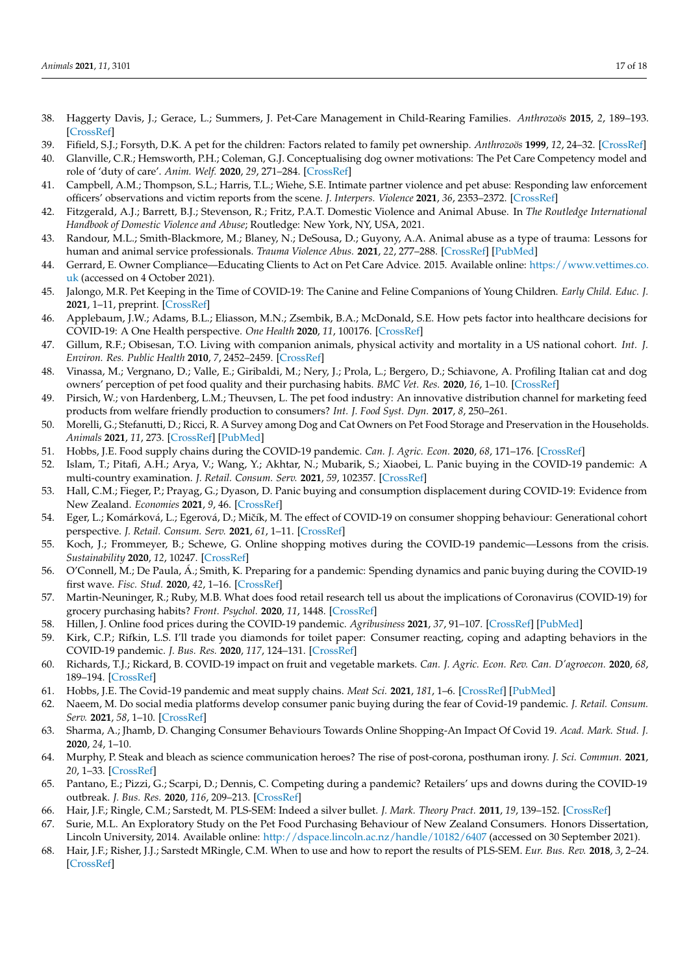- <span id="page-16-0"></span>38. Haggerty Davis, J.; Gerace, L.; Summers, J. Pet-Care Management in Child-Rearing Families. *Anthrozoös* **2015**, *2*, 189–193. [\[CrossRef\]](http://doi.org/10.2752/089279389787058046)
- <span id="page-16-1"></span>39. Fifield, S.J.; Forsyth, D.K. A pet for the children: Factors related to family pet ownership. *Anthrozoös* **1999**, *12*, 24–32. [\[CrossRef\]](http://doi.org/10.2752/089279399787000426)
- <span id="page-16-2"></span>40. Glanville, C.R.; Hemsworth, P.H.; Coleman, G.J. Conceptualising dog owner motivations: The Pet Care Competency model and role of 'duty of care'. *Anim. Welf.* **2020**, *29*, 271–284. [\[CrossRef\]](http://doi.org/10.7120/09627286.29.3.271)
- <span id="page-16-3"></span>41. Campbell, A.M.; Thompson, S.L.; Harris, T.L.; Wiehe, S.E. Intimate partner violence and pet abuse: Responding law enforcement officers' observations and victim reports from the scene. *J. Interpers. Violence* **2021**, *36*, 2353–2372. [\[CrossRef\]](http://doi.org/10.1177/0886260518759653)
- 42. Fitzgerald, A.J.; Barrett, B.J.; Stevenson, R.; Fritz, P.A.T. Domestic Violence and Animal Abuse. In *The Routledge International Handbook of Domestic Violence and Abuse*; Routledge: New York, NY, USA, 2021.
- <span id="page-16-4"></span>43. Randour, M.L.; Smith-Blackmore, M.; Blaney, N.; DeSousa, D.; Guyony, A.A. Animal abuse as a type of trauma: Lessons for human and animal service professionals. *Trauma Violence Abus.* **2021**, *22*, 277–288. [\[CrossRef\]](http://doi.org/10.1177/1524838019843197) [\[PubMed\]](http://www.ncbi.nlm.nih.gov/pubmed/31043145)
- <span id="page-16-5"></span>44. Gerrard, E. Owner Compliance—Educating Clients to Act on Pet Care Advice. 2015. Available online: [https://www.vettimes.co.](https://www.vettimes.co.uk) [uk](https://www.vettimes.co.uk) (accessed on 4 October 2021).
- <span id="page-16-6"></span>45. Jalongo, M.R. Pet Keeping in the Time of COVID-19: The Canine and Feline Companions of Young Children. *Early Child. Educ. J.* **2021**, 1–11, preprint. [\[CrossRef\]](http://doi.org/10.1007/s10643-021-01251-9)
- <span id="page-16-7"></span>46. Applebaum, J.W.; Adams, B.L.; Eliasson, M.N.; Zsembik, B.A.; McDonald, S.E. How pets factor into healthcare decisions for COVID-19: A One Health perspective. *One Health* **2020**, *11*, 100176. [\[CrossRef\]](http://doi.org/10.1016/j.onehlt.2020.100176)
- <span id="page-16-8"></span>47. Gillum, R.F.; Obisesan, T.O. Living with companion animals, physical activity and mortality in a US national cohort. *Int. J. Environ. Res. Public Health* **2010**, *7*, 2452–2459. [\[CrossRef\]](http://doi.org/10.3390/ijerph7062452)
- <span id="page-16-9"></span>48. Vinassa, M.; Vergnano, D.; Valle, E.; Giribaldi, M.; Nery, J.; Prola, L.; Bergero, D.; Schiavone, A. Profiling Italian cat and dog owners' perception of pet food quality and their purchasing habits. *BMC Vet. Res.* **2020**, *16*, 1–10. [\[CrossRef\]](http://doi.org/10.1186/s12917-020-02357-9)
- 49. Pirsich, W.; von Hardenberg, L.M.; Theuvsen, L. The pet food industry: An innovative distribution channel for marketing feed products from welfare friendly production to consumers? *Int. J. Food Syst. Dyn.* **2017**, *8*, 250–261.
- <span id="page-16-10"></span>50. Morelli, G.; Stefanutti, D.; Ricci, R. A Survey among Dog and Cat Owners on Pet Food Storage and Preservation in the Households. *Animals* **2021**, *11*, 273. [\[CrossRef\]](http://doi.org/10.3390/ani11020273) [\[PubMed\]](http://www.ncbi.nlm.nih.gov/pubmed/33494534)
- <span id="page-16-11"></span>51. Hobbs, J.E. Food supply chains during the COVID-19 pandemic. *Can. J. Agric. Econ.* **2020**, *68*, 171–176. [\[CrossRef\]](http://doi.org/10.1111/cjag.12237)
- <span id="page-16-12"></span>52. Islam, T.; Pitafi, A.H.; Arya, V.; Wang, Y.; Akhtar, N.; Mubarik, S.; Xiaobei, L. Panic buying in the COVID-19 pandemic: A multi-country examination. *J. Retail. Consum. Serv.* **2021**, *59*, 102357. [\[CrossRef\]](http://doi.org/10.1016/j.jretconser.2020.102357)
- <span id="page-16-13"></span>53. Hall, C.M.; Fieger, P.; Prayag, G.; Dyason, D. Panic buying and consumption displacement during COVID-19: Evidence from New Zealand. *Economies* **2021**, *9*, 46. [\[CrossRef\]](http://doi.org/10.3390/economies9020046)
- 54. Eger, L.; Komárková, L.; Egerová, D.; Mičík, M. The effect of COVID-19 on consumer shopping behaviour: Generational cohort perspective. *J. Retail. Consum. Serv.* **2021**, *61*, 1–11. [\[CrossRef\]](http://doi.org/10.1016/j.jretconser.2021.102542)
- <span id="page-16-20"></span>55. Koch, J.; Frommeyer, B.; Schewe, G. Online shopping motives during the COVID-19 pandemic—Lessons from the crisis. *Sustainability* **2020**, *12*, 10247. [\[CrossRef\]](http://doi.org/10.3390/su122410247)
- 56. O'Connell, M.; De Paula, Á.; Smith, K. Preparing for a pandemic: Spending dynamics and panic buying during the COVID-19 first wave. *Fisc. Stud.* **2020**, *42*, 1–16. [\[CrossRef\]](http://doi.org/10.1111/1475-5890.12271)
- <span id="page-16-14"></span>57. Martin-Neuninger, R.; Ruby, M.B. What does food retail research tell us about the implications of Coronavirus (COVID-19) for grocery purchasing habits? *Front. Psychol.* **2020**, *11*, 1448. [\[CrossRef\]](http://doi.org/10.3389/fpsyg.2020.01448)
- <span id="page-16-15"></span>58. Hillen, J. Online food prices during the COVID-19 pandemic. *Agribusiness* **2021**, *37*, 91–107. [\[CrossRef\]](http://doi.org/10.1002/agr.21673) [\[PubMed\]](http://www.ncbi.nlm.nih.gov/pubmed/33362338)
- <span id="page-16-16"></span>59. Kirk, C.P.; Rifkin, L.S. I'll trade you diamonds for toilet paper: Consumer reacting, coping and adapting behaviors in the COVID-19 pandemic. *J. Bus. Res.* **2020**, *117*, 124–131. [\[CrossRef\]](http://doi.org/10.1016/j.jbusres.2020.05.028)
- <span id="page-16-17"></span>60. Richards, T.J.; Rickard, B. COVID-19 impact on fruit and vegetable markets. *Can. J. Agric. Econ. Rev. Can. D'agroecon.* **2020**, *68*, 189–194. [\[CrossRef\]](http://doi.org/10.1111/cjag.12231)
- <span id="page-16-18"></span>61. Hobbs, J.E. The Covid-19 pandemic and meat supply chains. *Meat Sci.* **2021**, *181*, 1–6. [\[CrossRef\]](http://doi.org/10.1016/j.meatsci.2021.108459) [\[PubMed\]](http://www.ncbi.nlm.nih.gov/pubmed/33602591)
- <span id="page-16-19"></span>62. Naeem, M. Do social media platforms develop consumer panic buying during the fear of Covid-19 pandemic. *J. Retail. Consum. Serv.* **2021**, *58*, 1–10. [\[CrossRef\]](http://doi.org/10.1016/j.jretconser.2020.102226)
- <span id="page-16-21"></span>63. Sharma, A.; Jhamb, D. Changing Consumer Behaviours Towards Online Shopping-An Impact Of Covid 19. *Acad. Mark. Stud. J.* **2020**, *24*, 1–10.
- <span id="page-16-22"></span>64. Murphy, P. Steak and bleach as science communication heroes? The rise of post-corona, posthuman irony. *J. Sci. Commun.* **2021**, *20*, 1–33. [\[CrossRef\]](http://doi.org/10.22323/2.20050203)
- <span id="page-16-23"></span>65. Pantano, E.; Pizzi, G.; Scarpi, D.; Dennis, C. Competing during a pandemic? Retailers' ups and downs during the COVID-19 outbreak. *J. Bus. Res.* **2020**, *116*, 209–213. [\[CrossRef\]](http://doi.org/10.1016/j.jbusres.2020.05.036)
- <span id="page-16-24"></span>66. Hair, J.F.; Ringle, C.M.; Sarstedt, M. PLS-SEM: Indeed a silver bullet. *J. Mark. Theory Pract.* **2011**, *19*, 139–152. [\[CrossRef\]](http://doi.org/10.2753/MTP1069-6679190202)
- <span id="page-16-25"></span>67. Surie, M.L. An Exploratory Study on the Pet Food Purchasing Behaviour of New Zealand Consumers. Honors Dissertation, Lincoln University, 2014. Available online: <http://dspace.lincoln.ac.nz/handle/10182/6407> (accessed on 30 September 2021).
- <span id="page-16-26"></span>68. Hair, J.F.; Risher, J.J.; Sarstedt MRingle, C.M. When to use and how to report the results of PLS-SEM. *Eur. Bus. Rev.* **2018**, *3*, 2–24. [\[CrossRef\]](http://doi.org/10.1108/EBR-11-2018-0203)